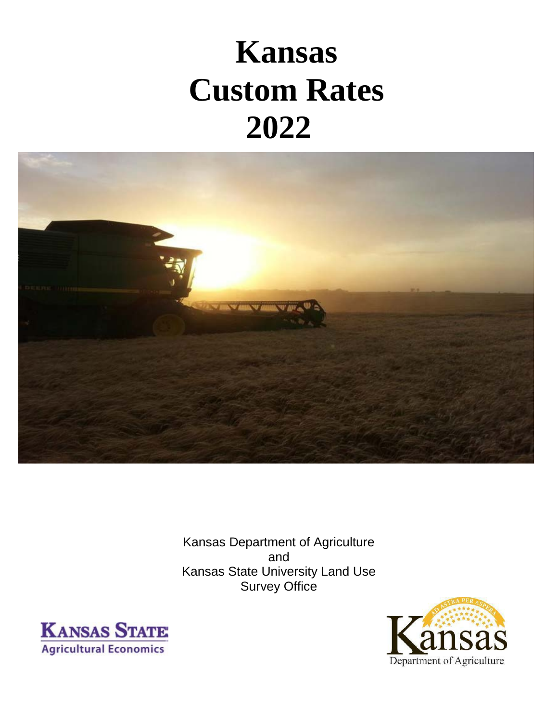# **Kansas Custom Rates 2022**



Kansas Department of Agriculture and Kansas State University Land Use Survey Office



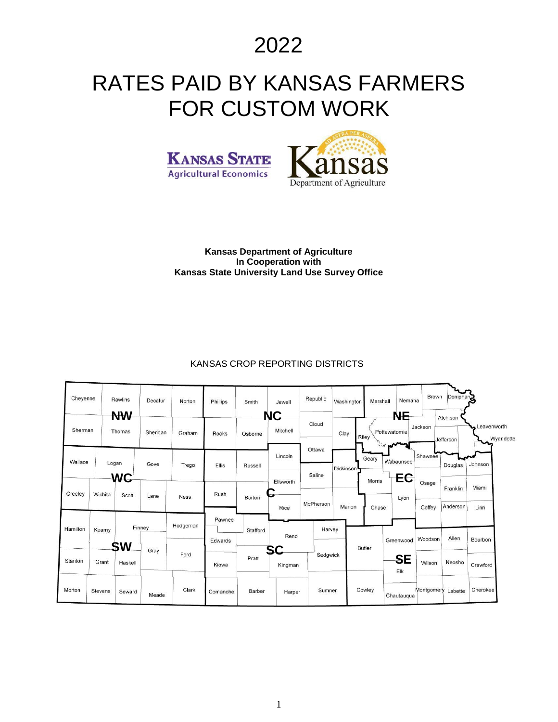2022

## RATES PAID BY KANSAS FARMERS FOR CUSTOM WORK





#### **Kansas Department of Agriculture In Cooperation with Kansas State University Land Use Survey Office**

#### KANSAS CROP REPORTING DISTRICTS

| Cheyenne |                | Rawlins             | Decatur  | Norton      | Phillips | Smith    | Jewell                           | Republic  | Washington             | Marshall      | Nemaha                    | Brown              | Doniphan <sub>2</sub> |                          |
|----------|----------------|---------------------|----------|-------------|----------|----------|----------------------------------|-----------|------------------------|---------------|---------------------------|--------------------|-----------------------|--------------------------|
| Sherman  |                | <b>NW</b><br>Thomas | Sheridan | Graham      | Rooks    | Osborne  | NС<br>Mitchell                   | Cloud     | Clay                   | Riley         | <b>NE</b><br>Pottawatomie | Jackson            | Atchison<br>Jefferson | Leavenworth<br>Wyandotte |
| Wallace  | Logan          |                     | Gove     | Trego       | Ellis    | Russell  | Lincoln                          | Ottawa    | Dickinson <sup>1</sup> | Geary         | Wabaunsee                 | Shawnee            | Douglas               | Johnson                  |
|          |                | <b>WC</b>           |          |             |          |          | Ellsworth                        | Saline    |                        | <b>Morris</b> | EC                        | Osage              | Franklin              | Miami                    |
| Greeley  | Wichita        | Scott               | Lane     | <b>Ness</b> | Rush     | Barton   | $\overline{\phantom{a}}$<br>Rice | McPherson | Marion                 | Chase         | Lyon                      | Coffey             | Anderson              | Linn                     |
| Hamilton | Kearny         |                     | Finney   | Hodgeman    | Pawnee   | Stafford |                                  | Harvey    |                        |               |                           |                    |                       |                          |
|          |                | <b>SW</b>           | Gray     |             | Edwards  |          | Reno<br>SC                       |           |                        | <b>Butler</b> | Greenwood                 | Woodson            | Allen                 | Bourbon                  |
| Stanton  | Grant          | Haskell             |          | Ford        | Kiowa    | Pratt    | Kingman                          | Sedgwick  |                        |               | <b>SE</b><br>Elk          | Wilson             | Neosho                | Crawford                 |
| Morton   | <b>Stevens</b> | Seward              | Meade    | Clark       | Comanche | Barber   | Harper                           | Sumner    |                        | Cowley        | Chautauqua                | Montgomery Labette |                       | Cherokee                 |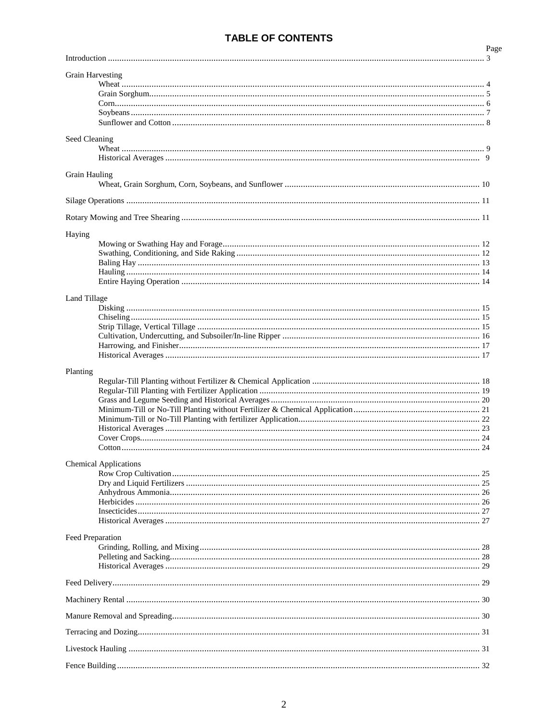#### **TABLE OF CONTENTS**

|                              | Page |
|------------------------------|------|
|                              |      |
| <b>Grain Harvesting</b>      |      |
|                              |      |
|                              |      |
|                              |      |
|                              |      |
|                              |      |
| Seed Cleaning                |      |
|                              |      |
|                              |      |
|                              |      |
| <b>Grain Hauling</b>         |      |
|                              |      |
|                              |      |
|                              |      |
|                              |      |
| Haying                       |      |
|                              |      |
|                              |      |
|                              |      |
|                              |      |
|                              |      |
| <b>Land Tillage</b>          |      |
|                              |      |
|                              |      |
|                              |      |
|                              |      |
|                              |      |
|                              |      |
| <b>Chemical Applications</b> |      |
|                              |      |
|                              |      |
|                              |      |
|                              |      |
| Feed Preparation             |      |
|                              |      |
|                              |      |
|                              |      |
|                              |      |
|                              |      |
|                              |      |
|                              |      |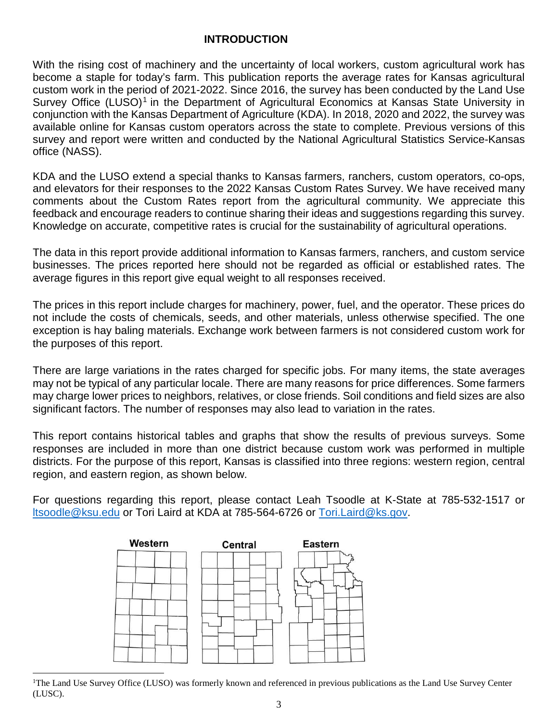#### **INTRODUCTION**

With the rising cost of machinery and the uncertainty of local workers, custom agricultural work has become a staple for today's farm. This publication reports the average rates for Kansas agricultural custom work in the period of 2021-2022. Since 2016, the survey has been conducted by the Land Use Survey Office (LUSO)<sup>[1](#page-3-0)</sup> in the Department of Agricultural Economics at Kansas State University in conjunction with the Kansas Department of Agriculture (KDA). In 2018, 2020 and 2022, the survey was available online for Kansas custom operators across the state to complete. Previous versions of this survey and report were written and conducted by the National Agricultural Statistics Service-Kansas office (NASS).

KDA and the LUSO extend a special thanks to Kansas farmers, ranchers, custom operators, co-ops, and elevators for their responses to the 2022 Kansas Custom Rates Survey. We have received many comments about the Custom Rates report from the agricultural community. We appreciate this feedback and encourage readers to continue sharing their ideas and suggestions regarding this survey. Knowledge on accurate, competitive rates is crucial for the sustainability of agricultural operations.

The data in this report provide additional information to Kansas farmers, ranchers, and custom service businesses. The prices reported here should not be regarded as official or established rates. The average figures in this report give equal weight to all responses received.

The prices in this report include charges for machinery, power, fuel, and the operator. These prices do not include the costs of chemicals, seeds, and other materials, unless otherwise specified. The one exception is hay baling materials. Exchange work between farmers is not considered custom work for the purposes of this report.

There are large variations in the rates charged for specific jobs. For many items, the state averages may not be typical of any particular locale. There are many reasons for price differences. Some farmers may charge lower prices to neighbors, relatives, or close friends. Soil conditions and field sizes are also significant factors. The number of responses may also lead to variation in the rates.

This report contains historical tables and graphs that show the results of previous surveys. Some responses are included in more than one district because custom work was performed in multiple districts. For the purpose of this report, Kansas is classified into three regions: western region, central region, and eastern region, as shown below.

For questions regarding this report, please contact Leah Tsoodle at K-State at 785-532-1517 or [ltsoodle@ksu.edu](mailto:ltsoodle@ksu.edu) or Tori Laird at KDA at 785-564-6726 or [Tori.Laird@ks.gov.](mailto:Tori.Laird@ks.gov)



<span id="page-3-0"></span>|<br>|<br>| The Land Use Survey Office (LUSO) was formerly known and referenced in previous publications as the Land Use Survey Center (LUSC).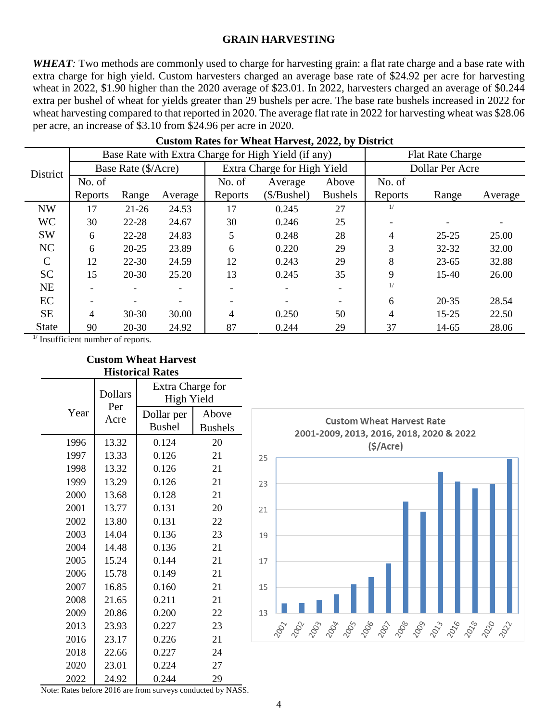#### **GRAIN HARVESTING**

*WHEAT*: Two methods are commonly used to charge for harvesting grain: a flat rate charge and a base rate with extra charge for high yield. Custom harvesters charged an average base rate of \$24.92 per acre for harvesting wheat in 2022, \$1.90 higher than the 2020 average of \$23.01. In 2022, harvesters charged an average of \$0.244 extra per bushel of wheat for yields greater than 29 bushels per acre. The base rate bushels increased in 2022 for wheat harvesting compared to that reported in 2020. The average flat rate in 2022 for harvesting wheat was \$28.06 per acre, an increase of \$3.10 from \$24.96 per acre in 2020.

|               |         |                     |         |         | Base Rate with Extra Charge for High Yield (if any) |                | <b>Flat Rate Charge</b> |           |         |  |
|---------------|---------|---------------------|---------|---------|-----------------------------------------------------|----------------|-------------------------|-----------|---------|--|
| District      |         | Base Rate (\$/Acre) |         |         | Extra Charge for High Yield                         |                | Dollar Per Acre         |           |         |  |
|               | No. of  |                     |         | No. of  | Average                                             | Above          | No. of                  |           |         |  |
|               | Reports | Range               | Average | Reports | $(\$/Bushel)$                                       | <b>Bushels</b> | Reports                 | Range     | Average |  |
| <b>NW</b>     | 17      | $21 - 26$           | 24.53   | 17      | 0.245                                               | 27             | 1/                      |           |         |  |
| <b>WC</b>     | 30      | $22 - 28$           | 24.67   | 30      | 0.246                                               | 25             |                         |           |         |  |
| <b>SW</b>     | 6       | 22-28               | 24.83   | 5       | 0.248                                               | 28             | 4                       | $25 - 25$ | 25.00   |  |
| NC            | 6       | $20 - 25$           | 23.89   | 6       | 0.220                                               | 29             | 3                       | 32-32     | 32.00   |  |
| $\mathcal{C}$ | 12      | $22 - 30$           | 24.59   | 12      | 0.243                                               | 29             | 8                       | $23 - 65$ | 32.88   |  |
| <b>SC</b>     | 15      | $20 - 30$           | 25.20   | 13      | 0.245                                               | 35             | 9                       | $15-40$   | 26.00   |  |
| <b>NE</b>     |         |                     |         |         |                                                     |                | 1/                      |           |         |  |
| EC            |         |                     |         |         |                                                     |                | 6                       | $20 - 35$ | 28.54   |  |
| <b>SE</b>     | 4       | $30 - 30$           | 30.00   | 4       | 0.250                                               | 50             | 4                       | $15 - 25$ | 22.50   |  |
| <b>State</b>  | 90      | $20 - 30$           | 24.92   | 87      | 0.244                                               | 29             | 37                      | 14-65     | 28.06   |  |

|  |  | <b>Custom Rates for Wheat Harvest, 2022, by District</b> |
|--|--|----------------------------------------------------------|
|--|--|----------------------------------------------------------|

 $<sup>1</sup>$  Insufficient number of reports.</sup>

|      | Historical Rates |                                       |                |  |  |  |  |  |  |  |  |
|------|------------------|---------------------------------------|----------------|--|--|--|--|--|--|--|--|
|      | <b>Dollars</b>   | <b>Extra Charge for</b><br>High Yield |                |  |  |  |  |  |  |  |  |
| Year | Per<br>Acre      | Dollar per                            | Above          |  |  |  |  |  |  |  |  |
|      |                  | <b>Bushel</b>                         | <b>Bushels</b> |  |  |  |  |  |  |  |  |
| 1996 | 13.32            | 0.124                                 | 20             |  |  |  |  |  |  |  |  |
| 1997 | 13.33            | 0.126                                 | 21             |  |  |  |  |  |  |  |  |
| 1998 | 13.32            | 0.126                                 | 21             |  |  |  |  |  |  |  |  |
| 1999 | 13.29            | 0.126                                 | 21             |  |  |  |  |  |  |  |  |
| 2000 | 13.68            | 0.128                                 | 21             |  |  |  |  |  |  |  |  |
| 2001 | 13.77            | 0.131                                 | 20             |  |  |  |  |  |  |  |  |
| 2002 | 13.80            | 0.131                                 | 22             |  |  |  |  |  |  |  |  |
| 2003 | 14.04            | 0.136                                 | 23             |  |  |  |  |  |  |  |  |
| 2004 | 14.48            | 0.136                                 | 21             |  |  |  |  |  |  |  |  |
| 2005 | 15.24            | 0.144                                 | 21             |  |  |  |  |  |  |  |  |
| 2006 | 15.78            | 0.149                                 | 21             |  |  |  |  |  |  |  |  |
| 2007 | 16.85            | 0.160                                 | 21             |  |  |  |  |  |  |  |  |
| 2008 | 21.65            | 0.211                                 | 21             |  |  |  |  |  |  |  |  |
| 2009 | 20.86            | 0.200                                 | 22             |  |  |  |  |  |  |  |  |
| 2013 | 23.93            | 0.227                                 | 23             |  |  |  |  |  |  |  |  |
| 2016 | 23.17            | 0.226                                 | 21             |  |  |  |  |  |  |  |  |
| 2018 | 22.66            | 0.227                                 | 24             |  |  |  |  |  |  |  |  |
| 2020 | 23.01            | 0.224                                 | 27             |  |  |  |  |  |  |  |  |
| 2022 | 24.92            | 0.244                                 | 29             |  |  |  |  |  |  |  |  |



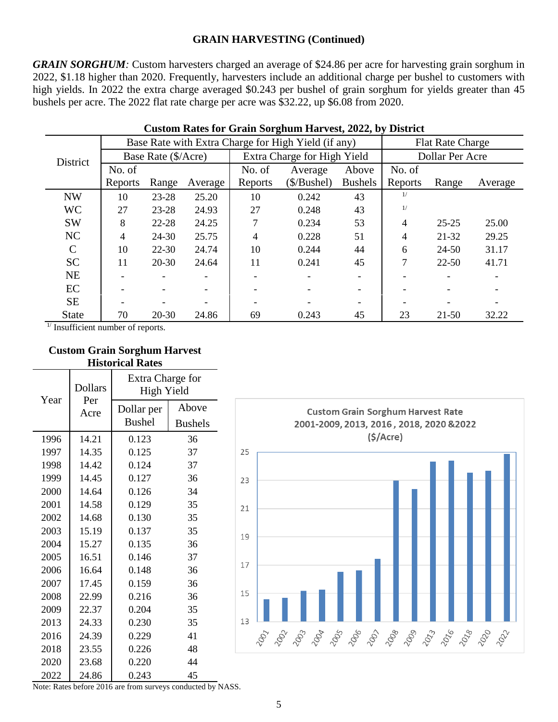*GRAIN SORGHUM*: Custom harvesters charged an average of \$24.86 per acre for harvesting grain sorghum in 2022, \$1.18 higher than 2020. Frequently, harvesters include an additional charge per bushel to customers with high yields. In 2022 the extra charge averaged \$0.243 per bushel of grain sorghum for yields greater than 45 bushels per acre. The 2022 flat rate charge per acre was \$32.22, up \$6.08 from 2020.

|               |         |                     |         |               | Base Rate with Extra Charge for High Yield (if any) |                | <b>Flat Rate Charge</b> |           |         |  |
|---------------|---------|---------------------|---------|---------------|-----------------------------------------------------|----------------|-------------------------|-----------|---------|--|
| District      |         | Base Rate (\$/Acre) |         |               | Extra Charge for High Yield                         |                | Dollar Per Acre         |           |         |  |
|               | No. of  |                     |         | No. of        | Average                                             | Above          | No. of                  |           |         |  |
|               | Reports | Range               | Average | Reports       | $(\$/Bushel)$                                       | <b>Bushels</b> | Reports                 | Range     | Average |  |
| <b>NW</b>     | 10      | 23-28               | 25.20   | 10            | 0.242                                               | 43             | 1/                      |           |         |  |
| <b>WC</b>     | 27      | 23-28               | 24.93   | 27            | 0.248                                               | 43             | 1/                      |           |         |  |
| <b>SW</b>     | 8       | 22-28               | 24.25   | $\mathcal{I}$ | 0.234                                               | 53             | 4                       | $25 - 25$ | 25.00   |  |
| NC            | 4       | 24-30               | 25.75   | 4             | 0.228                                               | 51             | 4                       | 21-32     | 29.25   |  |
| $\mathcal{C}$ | 10      | $22 - 30$           | 24.74   | 10            | 0.244                                               | 44             | 6                       | $24 - 50$ | 31.17   |  |
| <b>SC</b>     | 11      | $20 - 30$           | 24.64   | 11            | 0.241                                               | 45             | 7                       | $22 - 50$ | 41.71   |  |
| <b>NE</b>     |         |                     |         |               |                                                     |                |                         |           |         |  |
| EC            |         |                     |         |               |                                                     |                |                         |           |         |  |
| <b>SE</b>     |         |                     |         |               |                                                     |                |                         |           |         |  |
| <b>State</b>  | 70      | $20 - 30$           | 24.86   | 69            | 0.243                                               | 45             | 23                      | 21-50     | 32.22   |  |

#### **Custom Rates for Grain Sorghum Harvest, 2022, by District**

<sup>1/</sup> Insufficient number of reports.

#### **Custom Grain Sorghum Harvest Historical Rates**

| Year | <b>Dollars</b> | Extra Charge for<br>High Yield |                |  |  |  |  |
|------|----------------|--------------------------------|----------------|--|--|--|--|
|      | Per<br>Acre    | Dollar per                     | Above          |  |  |  |  |
|      |                | <b>Bushel</b>                  | <b>Bushels</b> |  |  |  |  |
| 1996 | 14.21          | 0.123                          | 36             |  |  |  |  |
| 1997 | 14.35          | 0.125                          | 37             |  |  |  |  |
| 1998 | 14.42          | 0.124                          | 37             |  |  |  |  |
| 1999 | 14.45          | 0.127                          | 36             |  |  |  |  |
| 2000 | 14.64          | 0.126                          | 34             |  |  |  |  |
| 2001 | 14.58          | 0.129                          | 35             |  |  |  |  |
| 2002 | 14.68          | 0.130                          | 35             |  |  |  |  |
| 2003 | 15.19          | 0.137                          | 35             |  |  |  |  |
| 2004 | 15.27          | 0.135                          | 36             |  |  |  |  |
| 2005 | 16.51          | 0.146                          | 37             |  |  |  |  |
| 2006 | 16.64          | 0.148                          | 36             |  |  |  |  |
| 2007 | 17.45          | 0.159                          | 36             |  |  |  |  |
| 2008 | 22.99          | 0.216                          | 36             |  |  |  |  |
| 2009 | 22.37          | 0.204                          | 35             |  |  |  |  |
| 2013 | 24.33          | 0.230                          | 35             |  |  |  |  |
| 2016 | 24.39          | 0.229                          | 41             |  |  |  |  |
| 2018 | 23.55          | 0.226                          | 48             |  |  |  |  |
| 2020 | 23.68          | 0.220                          | 44             |  |  |  |  |
| 2022 | 24.86          | 0.243                          | 45             |  |  |  |  |

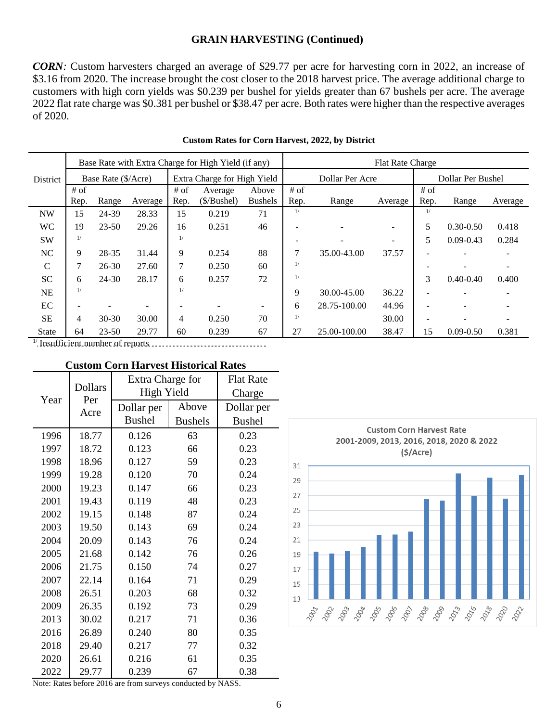*CORN:* Custom harvesters charged an average of \$29.77 per acre for harvesting corn in 2022, an increase of \$3.16 from 2020. The increase brought the cost closer to the 2018 harvest price. The average additional charge to customers with high corn yields was \$0.239 per bushel for yields greater than 67 bushels per acre. The average 2022 flat rate charge was \$0.381 per bushel or \$38.47 per acre. Both rates were higher than the respective averages of 2020.

|                 |                     |           |         |        | Base Rate with Extra Charge for High Yield (if any) |                | Flat Rate Charge |                 |                          |        |                   |         |  |
|-----------------|---------------------|-----------|---------|--------|-----------------------------------------------------|----------------|------------------|-----------------|--------------------------|--------|-------------------|---------|--|
| <b>District</b> | Base Rate (\$/Acre) |           |         |        | Extra Charge for High Yield                         |                |                  | Dollar Per Acre |                          |        | Dollar Per Bushel |         |  |
|                 | $#$ of              |           |         | $#$ of | Average                                             | Above          | $#$ of           |                 |                          | $#$ of |                   |         |  |
|                 | Rep.                | Range     | Average | Rep.   | $(\$/Bushel)$                                       | <b>Bushels</b> | Rep.             | Range           | Average                  | Rep.   | Range             | Average |  |
| <b>NW</b>       | 15                  | 24-39     | 28.33   | 15     | 0.219                                               | 71             | 1/               |                 |                          | 1/     |                   |         |  |
| <b>WC</b>       | 19                  | $23 - 50$ | 29.26   | 16     | 0.251                                               | 46             |                  |                 | $\overline{\phantom{a}}$ | 5      | $0.30 - 0.50$     | 0.418   |  |
| <b>SW</b>       | 1/                  |           |         | 1/     |                                                     |                |                  |                 | $\overline{\phantom{a}}$ | 5      | $0.09 - 0.43$     | 0.284   |  |
| NC              | 9                   | 28-35     | 31.44   | 9      | 0.254                                               | 88             | 7                | 35.00-43.00     | 37.57                    |        |                   |         |  |
| C               | 7                   | $26 - 30$ | 27.60   | 7      | 0.250                                               | 60             | 1/               |                 |                          |        |                   |         |  |
| <b>SC</b>       | 6                   | 24-30     | 28.17   | 6      | 0.257                                               | 72             | 1/               |                 |                          | 3      | $0.40 - 0.40$     | 0.400   |  |
| NE              | 1/                  |           |         | 1/     |                                                     |                | 9                | 30.00-45.00     | 36.22                    |        |                   |         |  |
| EC              |                     |           |         |        |                                                     |                | 6                | 28.75-100.00    | 44.96                    |        |                   |         |  |
| <b>SE</b>       | 4                   | $30 - 30$ | 30.00   | 4      | 0.250                                               | 70             | 1/               |                 | 30.00                    |        |                   |         |  |
| State           | 64                  | $23 - 50$ | 29.77   | 60     | 0.239                                               | 67             | 27               | 25.00-100.00    | 38.47                    | 15     | $0.09 - 0.50$     | 0.381   |  |

#### **Custom Rates for Corn Harvest, 2022, by District**

1/ Insufficient number of reports

#### **Custom Corn Harvest Historical Rates**

|      | <b>Dollars</b> | Extra Charge for |                | <b>Flat Rate</b> |  |
|------|----------------|------------------|----------------|------------------|--|
| Year | Per            | High Yield       |                | Charge           |  |
|      | Acre           | Dollar per       | Above          | Dollar per       |  |
|      |                | <b>Bushel</b>    | <b>Bushels</b> | <b>Bushel</b>    |  |
| 1996 | 18.77          | 0.126            | 63             | 0.23             |  |
| 1997 | 18.72          | 0.123            | 66             | 0.23             |  |
| 1998 | 18.96          | 0.127            | 59             | 0.23             |  |
| 1999 | 19.28          | 0.120            | 70             | 0.24             |  |
| 2000 | 19.23          | 0.147            | 66             | 0.23             |  |
| 2001 | 19.43          | 0.119            | 48             | 0.23             |  |
| 2002 | 19.15          | 0.148            | 87             | 0.24             |  |
| 2003 | 19.50          | 0.143            | 69             | 0.24             |  |
| 2004 | 20.09          | 0.143            | 76             | 0.24             |  |
| 2005 | 21.68          | 0.142            | 76             | 0.26             |  |
| 2006 | 21.75          | 0.150            | 74             | 0.27             |  |
| 2007 | 22.14          | 0.164            | 71             | 0.29             |  |
| 2008 | 26.51          | 0.203            | 68             | 0.32             |  |
| 2009 | 26.35          | 0.192            | 73             | 0.29             |  |
| 2013 | 30.02          | 0.217            | 71             | 0.36             |  |
| 2016 | 26.89          | 0.240            | 80             | 0.35             |  |
| 2018 | 29.40          | 0.217            | 77             | 0.32             |  |
| 2020 | 26.61          | 0.216            | 61             | 0.35             |  |
| 2022 | 29.77          | 0.239            | 67             | 0.38             |  |

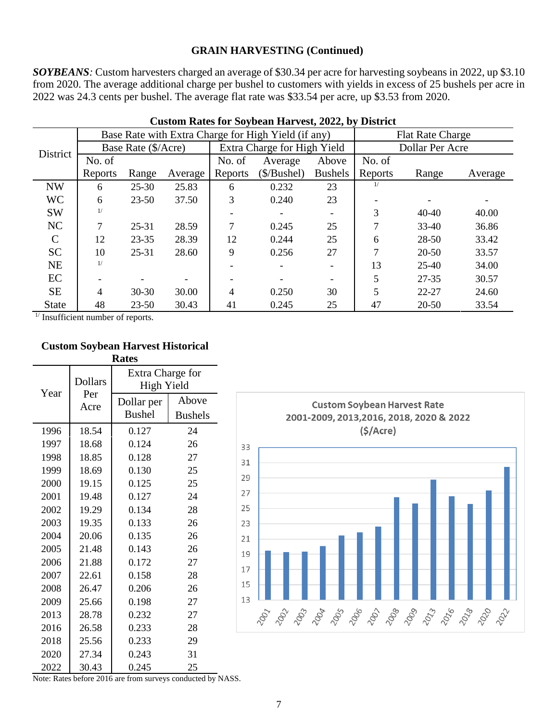*SOYBEANS:* Custom harvesters charged an average of \$30.34 per acre for harvesting soybeans in 2022, up \$3.10 from 2020. The average additional charge per bushel to customers with yields in excess of 25 bushels per acre in 2022 was 24.3 cents per bushel. The average flat rate was \$33.54 per acre, up \$3.53 from 2020.

|               |                          |                     |         |         | Base Rate with Extra Charge for High Yield (if any) |                          | <b>Flat Rate Charge</b> |           |         |  |
|---------------|--------------------------|---------------------|---------|---------|-----------------------------------------------------|--------------------------|-------------------------|-----------|---------|--|
| District      |                          | Base Rate (\$/Acre) |         |         | Extra Charge for High Yield                         |                          | Dollar Per Acre         |           |         |  |
|               | No. of                   |                     |         | No. of  | Average                                             | Above                    | No. of                  |           |         |  |
|               | Reports                  | Range               | Average | Reports | $(\$/Bushel)$                                       | <b>Bushels</b>           | Reports                 | Range     | Average |  |
| <b>NW</b>     | 6                        | $25 - 30$           | 25.83   | 6       | 0.232                                               | 23                       | 1/                      |           |         |  |
| <b>WC</b>     | 6                        | $23 - 50$           | 37.50   | 3       | 0.240                                               | 23                       |                         |           |         |  |
| <b>SW</b>     | 1/                       |                     |         |         |                                                     | $\overline{\phantom{a}}$ | 3                       | $40 - 40$ | 40.00   |  |
| NC            | 7                        | $25 - 31$           | 28.59   | 7       | 0.245                                               | 25                       |                         | $33-40$   | 36.86   |  |
| $\mathcal{C}$ | 12                       | $23 - 35$           | 28.39   | 12      | 0.244                                               | 25                       | 6                       | 28-50     | 33.42   |  |
| <b>SC</b>     | 10                       | $25 - 31$           | 28.60   | 9       | 0.256                                               | 27                       |                         | $20 - 50$ | 33.57   |  |
| <b>NE</b>     | 1/                       |                     |         |         |                                                     |                          | 13                      | $25-40$   | 34.00   |  |
| EC            | $\overline{\phantom{0}}$ |                     |         |         |                                                     | $\overline{\phantom{a}}$ | 5                       | $27 - 35$ | 30.57   |  |
| <b>SE</b>     | 4                        | $30 - 30$           | 30.00   | 4       | 0.250                                               | 30                       | 5                       | $22 - 27$ | 24.60   |  |
| <b>State</b>  | 48                       | $23 - 50$           | 30.43   | 41      | 0.245                                               | 25                       | 47                      | $20 - 50$ | 33.54   |  |

**Custom Rates for Soybean Harvest, 2022, by District**

<sup>1/</sup> Insufficient number of reports.

#### **Custom Soybean Harvest Historical Rates**

| naus |                |                                |                |  |  |  |  |  |
|------|----------------|--------------------------------|----------------|--|--|--|--|--|
|      | <b>Dollars</b> | Extra Charge for<br>High Yield |                |  |  |  |  |  |
| Year | Per<br>Acre    | Dollar per                     | Above          |  |  |  |  |  |
|      |                | <b>Bushel</b>                  | <b>Bushels</b> |  |  |  |  |  |
| 1996 | 18.54          | 0.127                          | 24             |  |  |  |  |  |
| 1997 | 18.68          | 0.124                          | 26             |  |  |  |  |  |
| 1998 | 18.85          | 0.128                          | 27             |  |  |  |  |  |
| 1999 | 18.69          | 0.130                          | 25             |  |  |  |  |  |
| 2000 | 19.15          | 0.125                          | 25             |  |  |  |  |  |
| 2001 | 19.48          | 0.127                          | 24             |  |  |  |  |  |
| 2002 | 19.29          | 0.134                          | 28             |  |  |  |  |  |
| 2003 | 19.35          | 0.133                          | 26             |  |  |  |  |  |
| 2004 | 20.06          | 0.135                          | 26             |  |  |  |  |  |
| 2005 | 21.48          | 0.143                          | 26             |  |  |  |  |  |
| 2006 | 21.88          | 0.172                          | 27             |  |  |  |  |  |
| 2007 | 22.61          | 0.158                          | 28             |  |  |  |  |  |
| 2008 | 26.47          | 0.206                          | 26             |  |  |  |  |  |
| 2009 | 25.66          | 0.198                          | 27             |  |  |  |  |  |
| 2013 | 28.78          | 0.232                          | 27             |  |  |  |  |  |
| 2016 | 26.58          | 0.233                          | 28             |  |  |  |  |  |
| 2018 | 25.56          | 0.233                          | 29             |  |  |  |  |  |
| 2020 | 27.34          | 0.243                          | 31             |  |  |  |  |  |
| 2022 | 30.43          | 0.245                          | 25             |  |  |  |  |  |

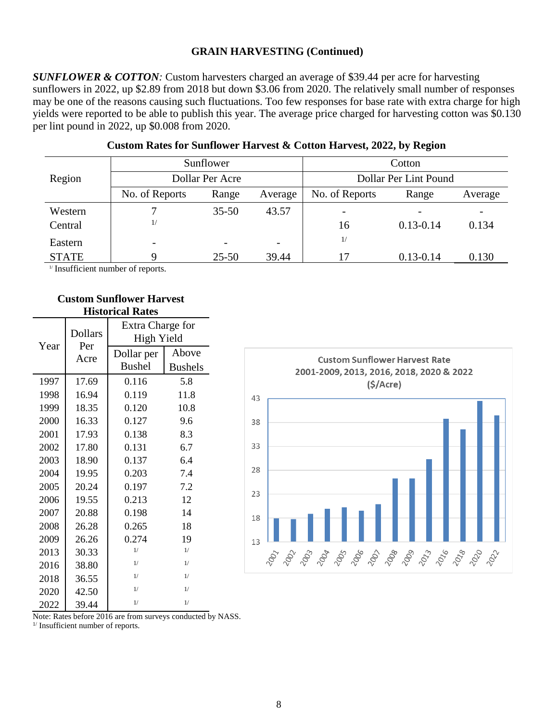*SUNFLOWER & COTTON:* Custom harvesters charged an average of \$39.44 per acre for harvesting sunflowers in 2022, up \$2.89 from 2018 but down \$3.06 from 2020. The relatively small number of responses may be one of the reasons causing such fluctuations. Too few responses for base rate with extra charge for high yields were reported to be able to publish this year. The average price charged for harvesting cotton was \$0.130 per lint pound in 2022, up \$0.008 from 2020.

|              |                          | Sunflower                |                          | Cotton                |               |                          |  |  |
|--------------|--------------------------|--------------------------|--------------------------|-----------------------|---------------|--------------------------|--|--|
| Region       |                          | Dollar Per Acre          |                          | Dollar Per Lint Pound |               |                          |  |  |
|              | No. of Reports           | Range                    | Average                  | No. of Reports        | Range         | Average                  |  |  |
| Western      |                          | $35 - 50$                | 43.57                    |                       |               | $\overline{\phantom{a}}$ |  |  |
| Central      | 1/                       |                          |                          | 16                    | $0.13 - 0.14$ | 0.134                    |  |  |
| Eastern      | $\overline{\phantom{a}}$ | $\overline{\phantom{0}}$ | $\overline{\phantom{0}}$ | 1/                    |               |                          |  |  |
| <b>STATE</b> |                          | $25 - 50$                | 39.44                    | 17                    | $0.13 - 0.14$ | 0.130                    |  |  |

#### **Custom Rates for Sunflower Harvest & Cotton Harvest, 2022, by Region**

 $\frac{1}{1}$  Insufficient number of reports.

#### **Custom Sunflower Harvest Historical Rates**

| Year | <b>Dollars</b> | Extra Charge for<br>High Yield |                         |  |  |  |
|------|----------------|--------------------------------|-------------------------|--|--|--|
|      | Per<br>Acre    | Dollar per<br><b>Bushel</b>    | Above<br><b>Bushels</b> |  |  |  |
| 1997 | 17.69          | 0.116                          | 5.8                     |  |  |  |
| 1998 | 16.94          | 0.119                          | 11.8                    |  |  |  |
| 1999 | 18.35          | 0.120                          | 10.8                    |  |  |  |
| 2000 | 16.33          | 0.127                          | 9.6                     |  |  |  |
| 2001 | 17.93          | 0.138                          | 8.3                     |  |  |  |
| 2002 | 17.80          | 0.131                          | 6.7                     |  |  |  |
| 2003 | 18.90          | 0.137                          | 6.4                     |  |  |  |
| 2004 | 19.95          | 0.203                          | 7.4                     |  |  |  |
| 2005 | 20.24          | 0.197                          | 7.2                     |  |  |  |
| 2006 | 19.55          | 0.213                          | 12                      |  |  |  |
| 2007 | 20.88          | 0.198                          | 14                      |  |  |  |
| 2008 | 26.28          | 0.265                          | 18                      |  |  |  |
| 2009 | 26.26          | 0.274                          | 19                      |  |  |  |
| 2013 | 30.33          | 1/                             | 1/                      |  |  |  |
| 2016 | 38.80          | 1/                             | 1/                      |  |  |  |
| 2018 | 36.55          | 1/                             | 1/                      |  |  |  |
| 2020 | 42.50          | 1/                             | 1/                      |  |  |  |
| 2022 | 39.44          | 1/                             | 1/                      |  |  |  |



Note: Rates before 2016 are from surveys conducted by NASS.

<sup>1/</sup> Insufficient number of reports.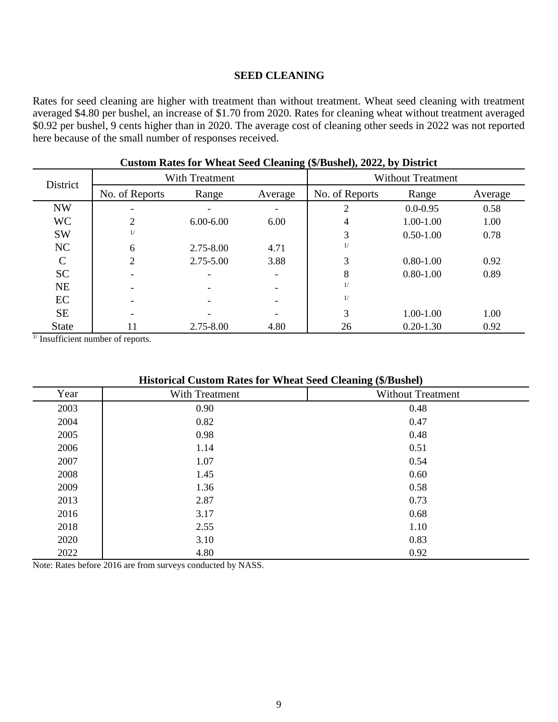#### **SEED CLEANING**

Rates for seed cleaning are higher with treatment than without treatment. Wheat seed cleaning with treatment averaged \$4.80 per bushel, an increase of \$1.70 from 2020. Rates for cleaning wheat without treatment averaged \$0.92 per bushel, 9 cents higher than in 2020. The average cost of cleaning other seeds in 2022 was not reported here because of the small number of responses received.

| District      |                | With Treatment |                          | <b>Without Treatment</b> |               |         |  |
|---------------|----------------|----------------|--------------------------|--------------------------|---------------|---------|--|
|               | No. of Reports | Range          | Average                  | No. of Reports           | Range         | Average |  |
| <b>NW</b>     |                |                |                          | $\overline{2}$           | $0.0 - 0.95$  | 0.58    |  |
| <b>WC</b>     | 2              | $6.00 - 6.00$  | 6.00                     | 4                        | 1.00-1.00     | 1.00    |  |
| <b>SW</b>     | 1/             |                |                          | 3                        | $0.50 - 1.00$ | 0.78    |  |
| NC            | 6              | 2.75-8.00      | 4.71                     | 1/                       |               |         |  |
| $\mathcal{C}$ | $\overline{2}$ | 2.75-5.00      | 3.88                     | 3                        | $0.80 - 1.00$ | 0.92    |  |
| <b>SC</b>     | -              |                | $\overline{\phantom{0}}$ | 8                        | $0.80 - 1.00$ | 0.89    |  |
| <b>NE</b>     |                |                | $\overline{\phantom{0}}$ | 1/                       |               |         |  |
| EC            |                |                | $\overline{\phantom{0}}$ | 1/                       |               |         |  |
| <b>SE</b>     |                |                |                          | 3                        | 1.00-1.00     | 1.00    |  |
| <b>State</b>  | 11             | 2.75-8.00      | 4.80                     | 26                       | $0.20 - 1.30$ | 0.92    |  |

#### **Custom Rates for Wheat Seed Cleaning (\$/Bushel), 2022, by District**

 $\frac{1}{1}$  Insufficient number of reports.

|  |  |  | <b>Historical Custom Rates for Wheat Seed Cleaning (\$/Bushel)</b> |  |  |
|--|--|--|--------------------------------------------------------------------|--|--|
|--|--|--|--------------------------------------------------------------------|--|--|

|                | ີ<br>$\overline{\phantom{a}}$ |
|----------------|-------------------------------|
| With Treatment | <b>Without Treatment</b>      |
| 0.90           | 0.48                          |
| 0.82           | 0.47                          |
| 0.98           | 0.48                          |
| 1.14           | 0.51                          |
| 1.07           | 0.54                          |
| 1.45           | 0.60                          |
| 1.36           | 0.58                          |
| 2.87           | 0.73                          |
| 3.17           | 0.68                          |
| 2.55           | 1.10                          |
| 3.10           | 0.83                          |
| 4.80           | 0.92                          |
|                |                               |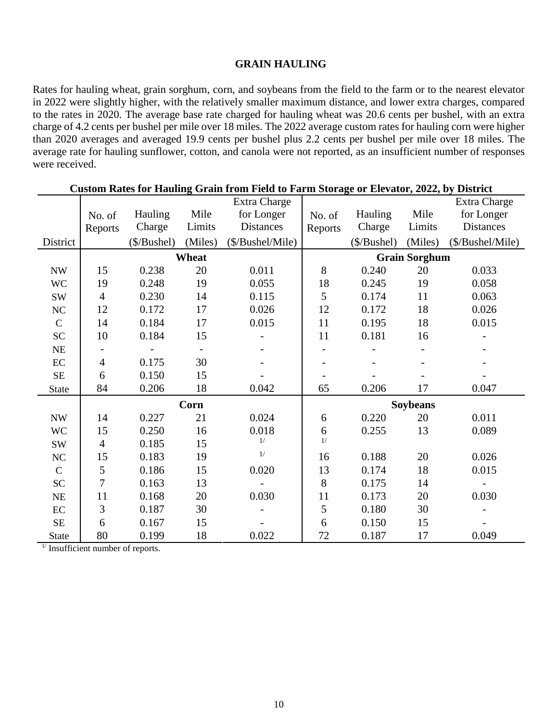#### **GRAIN HAULING**

Rates for hauling wheat, grain sorghum, corn, and soybeans from the field to the farm or to the nearest elevator in 2022 were slightly higher, with the relatively smaller maximum distance, and lower extra charges, compared to the rates in 2020. The average base rate charged for hauling wheat was 20.6 cents per bushel, with an extra charge of 4.2 cents per bushel per mile over 18 miles. The 2022 average custom rates for hauling corn were higher than 2020 averages and averaged 19.9 cents per bushel plus 2.2 cents per bushel per mile over 18 miles. The average rate for hauling sunflower, cotton, and canola were not reported, as an insufficient number of responses were received.

|                          | Custom Rates for Hauling Grain from Field to Farm Storage or Elevator, 2022, by District |               |                          |                  |                 |               |                      |                     |  |  |
|--------------------------|------------------------------------------------------------------------------------------|---------------|--------------------------|------------------|-----------------|---------------|----------------------|---------------------|--|--|
|                          |                                                                                          |               |                          | Extra Charge     |                 |               |                      | <b>Extra Charge</b> |  |  |
|                          | No. of                                                                                   | Hauling       | Mile                     | for Longer       | No. of          | Hauling       | Mile                 | for Longer          |  |  |
|                          | Reports                                                                                  | Charge        | Limits                   | <b>Distances</b> | Reports         | Charge        | Limits               | Distances           |  |  |
| District                 |                                                                                          | $(\$/Bushel)$ | (Miles)                  | (\$/Bushel/Mile) |                 | $(\$/Bushel)$ | (Miles)              | (\$/Bushel/Mile)    |  |  |
|                          |                                                                                          |               | Wheat                    |                  |                 |               | <b>Grain Sorghum</b> |                     |  |  |
| $\ensuremath{\text{NW}}$ | 15                                                                                       | 0.238         | 20                       | 0.011            | 8               | 0.240         | 20                   | 0.033               |  |  |
| <b>WC</b>                | 19                                                                                       | 0.248         | 19                       | 0.055            | 18              | 0.245         | 19                   | 0.058               |  |  |
| SW                       | $\overline{4}$                                                                           | 0.230         | 14                       | 0.115            | 5               | 0.174         | 11                   | 0.063               |  |  |
| $\rm NC$                 | 12                                                                                       | 0.172         | 17                       | 0.026            | 12              | 0.172         | 18                   | 0.026               |  |  |
| $\mathsf{C}$             | 14                                                                                       | 0.184         | 17                       | 0.015            | 11              | 0.195         | 18                   | 0.015               |  |  |
| ${\rm SC}$               | 10                                                                                       | 0.184         | 15                       |                  | 11              | 0.181         | 16                   |                     |  |  |
| $\rm NE$                 | $\qquad \qquad \blacksquare$                                                             |               | $\overline{\phantom{a}}$ |                  |                 |               |                      |                     |  |  |
| $\rm EC$                 | $\overline{4}$                                                                           | 0.175         | 30                       |                  |                 |               |                      |                     |  |  |
| $\rm SE$                 | 6                                                                                        | 0.150         | 15                       |                  |                 |               |                      |                     |  |  |
| <b>State</b>             | 84                                                                                       | 0.206         | 18                       | 0.042            | 65              | 0.206         | 17                   | 0.047               |  |  |
|                          |                                                                                          |               | <b>Corn</b>              |                  | <b>Soybeans</b> |               |                      |                     |  |  |
| $\ensuremath{\text{NW}}$ | 14                                                                                       | 0.227         | 21                       | 0.024            | 6               | 0.220         | 20                   | 0.011               |  |  |
| <b>WC</b>                | 15                                                                                       | 0.250         | 16                       | 0.018            | 6               | 0.255         | 13                   | 0.089               |  |  |
| SW                       | $\overline{4}$                                                                           | 0.185         | 15                       | 1/               | 1/              |               |                      |                     |  |  |
| $\rm NC$                 | 15                                                                                       | 0.183         | 19                       | $1/$             | 16              | 0.188         | 20                   | 0.026               |  |  |
| $\mathbf C$              | 5                                                                                        | 0.186         | 15                       | 0.020            | 13              | 0.174         | 18                   | 0.015               |  |  |
| ${\rm SC}$               | $\overline{7}$                                                                           | 0.163         | 13                       |                  | 8               | 0.175         | 14                   |                     |  |  |
| $\rm NE$                 | 11                                                                                       | 0.168         | 20                       | 0.030            | 11              | 0.173         | 20                   | 0.030               |  |  |
| EC                       | 3                                                                                        | 0.187         | 30                       |                  | 5               | 0.180         | 30                   |                     |  |  |
| $\rm SE$                 | 6                                                                                        | 0.167         | 15                       |                  | 6               | 0.150         | 15                   |                     |  |  |
| <b>State</b>             | 80                                                                                       | 0.199         | 18                       | 0.022            | 72              | 0.187         | 17                   | 0.049               |  |  |

**Custom Rates for Hauling Grain from Field to Farm Storage or Elevator, 2022, by District**

 $\frac{1}{2}$  Insufficient number of reports.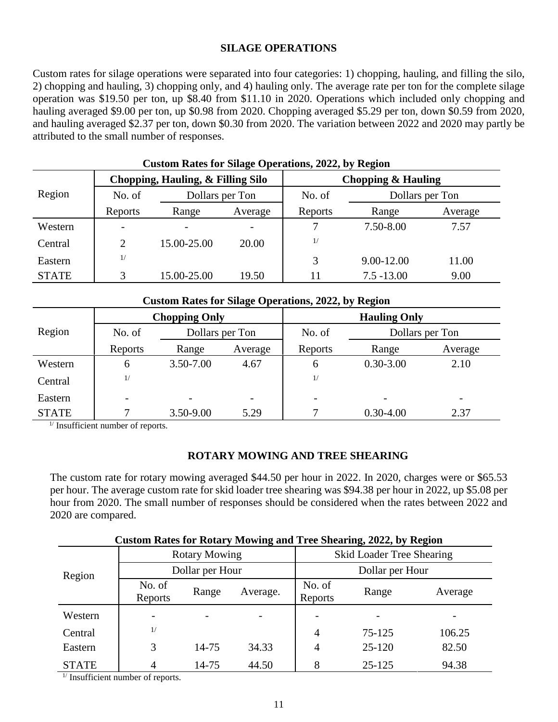#### **SILAGE OPERATIONS**

Custom rates for silage operations were separated into four categories: 1) chopping, hauling, and filling the silo, 2) chopping and hauling, 3) chopping only, and 4) hauling only. The average rate per ton for the complete silage operation was \$19.50 per ton, up \$8.40 from \$11.10 in 2020. Operations which included only chopping and hauling averaged \$9.00 per ton, up \$0.98 from 2020. Chopping averaged \$5.29 per ton, down \$0.59 from 2020, and hauling averaged \$2.37 per ton, down \$0.30 from 2020. The variation between 2022 and 2020 may partly be attributed to the small number of responses.

|              | <b>Custom Rates for Silage Operations, 2022, by Region</b> |                                   |         |                    |                 |         |  |  |  |  |  |  |
|--------------|------------------------------------------------------------|-----------------------------------|---------|--------------------|-----------------|---------|--|--|--|--|--|--|
|              |                                                            | Chopping, Hauling, & Filling Silo |         | Chopping & Hauling |                 |         |  |  |  |  |  |  |
| Region       | No. of                                                     | Dollars per Ton                   |         | No. of             | Dollars per Ton |         |  |  |  |  |  |  |
|              | Reports                                                    | Range                             | Average | Reports            | Range           | Average |  |  |  |  |  |  |
| Western      | $\overline{\phantom{a}}$                                   |                                   |         |                    | 7.50-8.00       | 7.57    |  |  |  |  |  |  |
| Central      | 2                                                          | 15.00-25.00                       | 20.00   | 1/                 |                 |         |  |  |  |  |  |  |
| Eastern      | 1/                                                         |                                   |         | 3                  | 9.00-12.00      | 11.00   |  |  |  |  |  |  |
| <b>STATE</b> | 3                                                          | 15.00-25.00                       | 19.50   |                    | $7.5 - 13.00$   | 9.00    |  |  |  |  |  |  |

|              | <b>Custom Rates for Silage Operations, 2022, by Region</b> |                      |      |                     |                 |                          |  |  |  |  |  |  |
|--------------|------------------------------------------------------------|----------------------|------|---------------------|-----------------|--------------------------|--|--|--|--|--|--|
|              |                                                            | <b>Chopping Only</b> |      | <b>Hauling Only</b> |                 |                          |  |  |  |  |  |  |
| Region       | No. of                                                     | Dollars per Ton      |      | No. of              | Dollars per Ton |                          |  |  |  |  |  |  |
|              | Reports                                                    | Range<br>Average     |      | Reports             | Range           | Average                  |  |  |  |  |  |  |
| Western      | 6                                                          | 3.50-7.00            | 4.67 | 6                   | $0.30 - 3.00$   | 2.10                     |  |  |  |  |  |  |
| Central      | 1/                                                         |                      |      | 1/                  |                 |                          |  |  |  |  |  |  |
| Eastern      |                                                            |                      |      |                     |                 | $\overline{\phantom{0}}$ |  |  |  |  |  |  |
| <b>STATE</b> |                                                            | 3.50-9.00            | 5.29 |                     | $0.30 - 4.00$   | 2.37                     |  |  |  |  |  |  |

 $<sup>1</sup>$  Insufficient number of reports.</sup>

#### **ROTARY MOWING AND TREE SHEARING**

The custom rate for rotary mowing averaged \$44.50 per hour in 2022. In 2020, charges were or \$65.53 per hour. The average custom rate for skid loader tree shearing was \$94.38 per hour in 2022, up \$5.08 per hour from 2020. The small number of responses should be considered when the rates between 2022 and 2020 are compared.

|              | Cusioni Kates for Kotal v Mowing and Tree Shearing, 2022, by Kegion |                      |          |                                  |            |         |  |  |  |  |  |  |
|--------------|---------------------------------------------------------------------|----------------------|----------|----------------------------------|------------|---------|--|--|--|--|--|--|
| Region       |                                                                     | <b>Rotary Mowing</b> |          | <b>Skid Loader Tree Shearing</b> |            |         |  |  |  |  |  |  |
|              |                                                                     | Dollar per Hour      |          | Dollar per Hour                  |            |         |  |  |  |  |  |  |
|              | No. of<br>Reports                                                   | Range                | Average. | No. of<br>Reports                | Range      | Average |  |  |  |  |  |  |
| Western      | $\qquad \qquad$                                                     |                      |          | $\qquad \qquad$                  |            |         |  |  |  |  |  |  |
| Central      | 1/                                                                  |                      |          | 4                                | 75-125     | 106.25  |  |  |  |  |  |  |
| Eastern      | 3                                                                   | 14-75                | 34.33    | 4                                | 25-120     | 82.50   |  |  |  |  |  |  |
| <b>STATE</b> |                                                                     | 14-75                | 44.50    | 8                                | $25 - 125$ | 94.38   |  |  |  |  |  |  |

**Custom Rates for Rotary Mowing and Tree Shearing, 2022, by Region**

 $\frac{1}{4}$  Insufficient number of reports.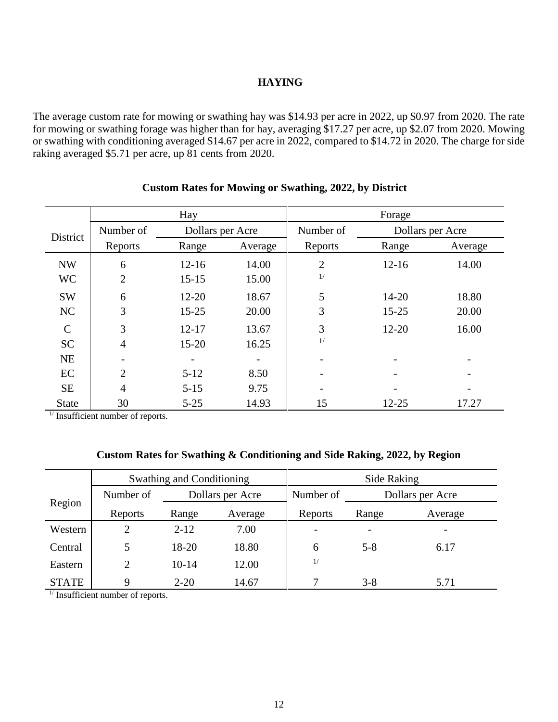#### **HAYING**

The average custom rate for mowing or swathing hay was \$14.93 per acre in 2022, up \$0.97 from 2020. The rate for mowing or swathing forage was higher than for hay, averaging \$17.27 per acre, up \$2.07 from 2020. Mowing or swathing with conditioning averaged \$14.67 per acre in 2022, compared to \$14.72 in 2020. The charge for side raking averaged \$5.71 per acre, up 81 cents from 2020.

|              |                | Hay              |         | Forage         |           |                  |
|--------------|----------------|------------------|---------|----------------|-----------|------------------|
| District     | Number of      | Dollars per Acre |         | Number of      |           | Dollars per Acre |
|              | Reports        | Range            | Average | Reports        | Range     | Average          |
| <b>NW</b>    | 6              | $12 - 16$        | 14.00   | $\overline{2}$ | $12 - 16$ | 14.00            |
| <b>WC</b>    | $\overline{2}$ | $15 - 15$        | 15.00   | 1/             |           |                  |
| <b>SW</b>    | 6              | $12 - 20$        | 18.67   | 5              | $14 - 20$ | 18.80            |
| NC           | 3              | $15 - 25$        | 20.00   | 3              | $15 - 25$ | 20.00            |
| $\mathsf{C}$ | 3              | $12 - 17$        | 13.67   | 3              | $12 - 20$ | 16.00            |
| <b>SC</b>    | $\overline{4}$ | $15 - 20$        | 16.25   | 1/             |           |                  |
| <b>NE</b>    |                |                  |         |                |           |                  |
| EC           | $\overline{2}$ | $5 - 12$         | 8.50    |                |           |                  |
| <b>SE</b>    | $\overline{4}$ | $5 - 15$         | 9.75    |                |           |                  |
| <b>State</b> | 30             | $5 - 25$         | 14.93   | 15             | $12 - 25$ | 17.27            |

#### **Custom Rates for Mowing or Swathing, 2022, by District**

 $<sup>1</sup>$  Insufficient number of reports.</sup>

#### **Custom Rates for Swathing & Conditioning and Side Raking, 2022, by Region**

|              |                               | <b>Swathing and Conditioning</b> |         | Side Raking |                          |         |  |
|--------------|-------------------------------|----------------------------------|---------|-------------|--------------------------|---------|--|
|              | Number of<br>Dollars per Acre |                                  |         | Number of   | Dollars per Acre         |         |  |
| Region       | Reports                       | Range                            | Average | Reports     | Range                    | Average |  |
| Western      |                               | $2 - 12$                         | 7.00    |             | $\overline{\phantom{a}}$ | -       |  |
| Central      |                               | 18-20                            | 18.80   | 6           | $5 - 8$                  | 6.17    |  |
| Eastern      | 2                             | $10-14$                          | 12.00   | 1/          |                          |         |  |
| <b>STATE</b> | Q                             | $2 - 20$                         | 14.67   |             | $3 - 8$                  | 5.71    |  |

 $<sup>1</sup>$  Insufficient number of reports.</sup>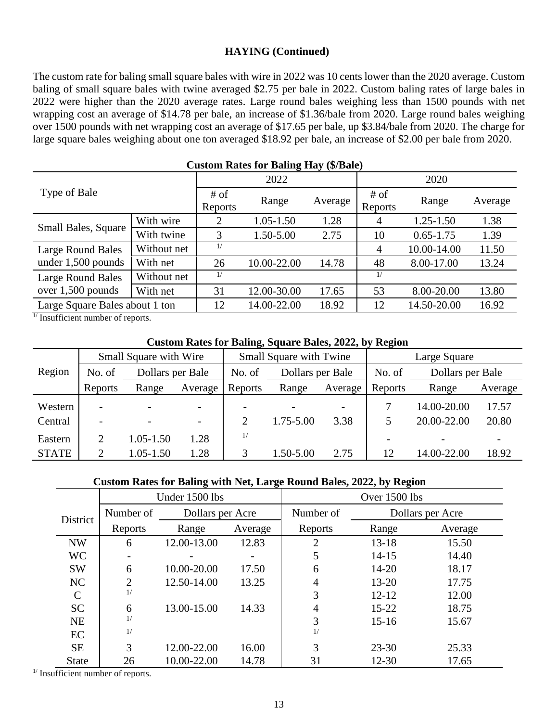#### **HAYING (Continued)**

The custom rate for baling small square bales with wire in 2022 was 10 cents lower than the 2020 average. Custom baling of small square bales with twine averaged \$2.75 per bale in 2022. Custom baling rates of large bales in 2022 were higher than the 2020 average rates. Large round bales weighing less than 1500 pounds with net wrapping cost an average of \$14.78 per bale, an increase of \$1.36/bale from 2020. Large round bales weighing over 1500 pounds with net wrapping cost an average of \$17.65 per bale, up \$3.84/bale from 2020. The charge for large square bales weighing about one ton averaged \$18.92 per bale, an increase of \$2.00 per bale from 2020.

| <b>Custom Rates for Baling Hay (\$/Bale)</b> |             |                 |               |         |                 |               |         |  |  |
|----------------------------------------------|-------------|-----------------|---------------|---------|-----------------|---------------|---------|--|--|
|                                              |             |                 | 2022          |         | 2020            |               |         |  |  |
| Type of Bale                                 |             | # of<br>Reports | Range         | Average | # of<br>Reports | Range         | Average |  |  |
| <b>Small Bales, Square</b>                   | With wire   | 2               | $1.05 - 1.50$ | 1.28    | 4               | $1.25 - 1.50$ | 1.38    |  |  |
|                                              | With twine  | 3               | 1.50-5.00     | 2.75    | 10              | $0.65 - 1.75$ | 1.39    |  |  |
| Large Round Bales                            | Without net | 1/              |               |         | 4               | 10.00-14.00   | 11.50   |  |  |
| under $1,500$ pounds                         | With net    | 26              | 10.00-22.00   | 14.78   | 48              | 8.00-17.00    | 13.24   |  |  |
| Large Round Bales                            | Without net | 1/              |               |         | 1/              |               |         |  |  |
| over $1,500$ pounds                          | With net    | 31              | 12.00-30.00   | 17.65   | 53              | 8.00-20.00    | 13.80   |  |  |
| Large Square Bales about 1 ton               |             | 12              | 14.00-22.00   | 18.92   | 12              | 14.50-20.00   | 16.92   |  |  |

 $\frac{1}{1}$  Insufficient number of reports.

#### **Custom Rates for Baling, Square Bales, 2022, by Region**

|              | <b>Small Square with Wire</b> |                  |                          |                          | <b>Small Square with Twine</b> |         | Large Square             |                  |         |
|--------------|-------------------------------|------------------|--------------------------|--------------------------|--------------------------------|---------|--------------------------|------------------|---------|
| Region       | No. of                        | Dollars per Bale |                          | No. of                   | Dollars per Bale               |         | No. of                   | Dollars per Bale |         |
|              | Reports                       | Range            | Average                  | Reports                  | Range                          | Average | Reports                  | Range            | Average |
| Western      | $\overline{\phantom{a}}$      |                  |                          | $\overline{\phantom{0}}$ |                                |         | 7                        | 14.00-20.00      | 17.57   |
| Central      | $\overline{\phantom{a}}$      |                  | $\overline{\phantom{a}}$ | $\overline{2}$           | 1.75-5.00                      | 3.38    | 5                        | 20.00-22.00      | 20.80   |
| Eastern      | 2                             | $1.05 - 1.50$    | 1.28                     | 1/                       |                                |         | $\overline{\phantom{a}}$ |                  |         |
| <b>STATE</b> | 2                             | 1.05-1.50        | .28                      |                          | 1.50-5.00                      | 2.75    | 12                       | 14.00-22.00      | 18.92   |

#### **Custom Rates for Baling with Net, Large Round Bales, 2022, by Region**

|               |                | Under 1500 lbs   |       | Over 1500 lbs |           |                  |  |
|---------------|----------------|------------------|-------|---------------|-----------|------------------|--|
| District      | Number of      | Dollars per Acre |       | Number of     |           | Dollars per Acre |  |
|               | Reports        | Range<br>Average |       | Reports       | Range     | Average          |  |
| <b>NW</b>     | 6              | 12.00-13.00      | 12.83 | 2             | $13 - 18$ | 15.50            |  |
| <b>WC</b>     |                |                  |       | 5             | $14 - 15$ | 14.40            |  |
| <b>SW</b>     | 6              | 10.00-20.00      | 17.50 | 6             | $14 - 20$ | 18.17            |  |
| NC            | $\overline{2}$ | 12.50-14.00      | 13.25 | 4             | $13 - 20$ | 17.75            |  |
| $\mathcal{C}$ | 1/             |                  |       | 3             | $12 - 12$ | 12.00            |  |
| <b>SC</b>     | 6              | 13.00-15.00      | 14.33 | 4             | $15 - 22$ | 18.75            |  |
| <b>NE</b>     | 1/             |                  |       | 3             | $15 - 16$ | 15.67            |  |
| EC            | 1/             |                  |       | 1/            |           |                  |  |
| <b>SE</b>     | 3              | 12.00-22.00      | 16.00 | 3             | $23 - 30$ | 25.33            |  |
| <b>State</b>  | 26             | 10.00-22.00      | 14.78 | 31            | $12 - 30$ | 17.65            |  |

 $<sup>1</sup>$  Insufficient number of reports.</sup>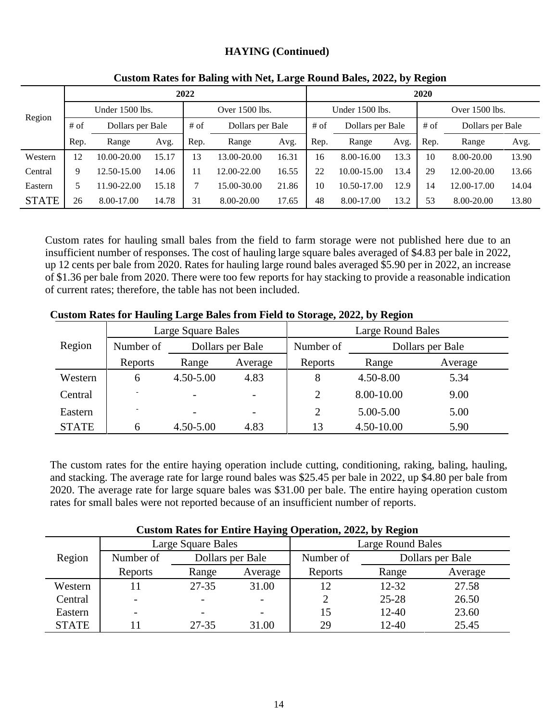#### **HAYING (Continued)**

|              |                   |                  |       | 2022           |                  |       | 2020            |                  |                |        |                  |       |
|--------------|-------------------|------------------|-------|----------------|------------------|-------|-----------------|------------------|----------------|--------|------------------|-------|
|              | Under $1500$ lbs. |                  |       | Over 1500 lbs. |                  |       | Under 1500 lbs. |                  | Over 1500 lbs. |        |                  |       |
| Region       | $#$ of            | Dollars per Bale |       | $#$ of         | Dollars per Bale |       | $#$ of          | Dollars per Bale |                | $#$ of | Dollars per Bale |       |
|              | Rep.              | Range            | Avg.  | Rep.           | Range            | Avg.  | Rep.            | Range            | Avg.           | Rep.   | Range            | Avg.  |
| Western      | 12                | 10.00-20.00      | 15.17 | 13             | 13.00-20.00      | 16.31 | 16              | $8.00 - 16.00$   | 13.3           | 10     | 8.00-20.00       | 13.90 |
| Central      | 9                 | 12.50-15.00      | 14.06 | 11             | 12.00-22.00      | 16.55 | 22              | 10.00-15.00      | 13.4           | 29     | 12.00-20.00      | 13.66 |
| Eastern      | 5                 | 1.90-22.00       | 15.18 |                | 15.00-30.00      | 21.86 | 10              | 10.50-17.00      | 12.9           | ı 4    | 12.00-17.00      | 14.04 |
| <b>STATE</b> | 26                | 8.00-17.00       | 14.78 | 31             | 8.00-20.00       | 17.65 | 48              | 8.00-17.00       | 13.2           | 53     | 8.00-20.00       | 13.80 |

#### **Custom Rates for Baling with Net, Large Round Bales, 2022, by Region**

Custom rates for hauling small bales from the field to farm storage were not published here due to an insufficient number of responses. The cost of hauling large square bales averaged of \$4.83 per bale in 2022, up 12 cents per bale from 2020. Rates for hauling large round bales averaged \$5.90 per in 2022, an increase of \$1.36 per bale from 2020. There were too few reports for hay stacking to provide a reasonable indication of current rates; therefore, the table has not been included.

|              |           | Large Square Bales |         | <b>Large Round Bales</b> |               |                  |  |
|--------------|-----------|--------------------|---------|--------------------------|---------------|------------------|--|
| Region       | Number of | Dollars per Bale   |         | Number of                |               | Dollars per Bale |  |
|              | Reports   | Range              | Average | Reports                  | Range         | Average          |  |
| Western      | 6         | $4.50 - 5.00$      | 4.83    | 8                        | $4.50 - 8.00$ | 5.34             |  |
| Central      |           |                    |         | $\overline{2}$           | 8.00-10.00    | 9.00             |  |
| Eastern      |           |                    |         | $\overline{2}$           | 5.00-5.00     | 5.00             |  |
| <b>STATE</b> | 6         | 4.50-5.00          | 4.83    | 13                       | 4.50-10.00    | 5.90             |  |

#### **Custom Rates for Hauling Large Bales from Field to Storage, 2022, by Region**

The custom rates for the entire haying operation include cutting, conditioning, raking, baling, hauling, and stacking. The average rate for large round bales was \$25.45 per bale in 2022, up \$4.80 per bale from 2020. The average rate for large square bales was \$31.00 per bale. The entire haying operation custom rates for small bales were not reported because of an insufficient number of reports.

|              | Custom Kates for Emarc Haying Operation, 2022, by Kegfon |                    |         |                          |                  |         |  |  |  |  |  |
|--------------|----------------------------------------------------------|--------------------|---------|--------------------------|------------------|---------|--|--|--|--|--|
|              |                                                          | Large Square Bales |         | <b>Large Round Bales</b> |                  |         |  |  |  |  |  |
| Region       | Number of                                                | Dollars per Bale   |         | Number of                | Dollars per Bale |         |  |  |  |  |  |
|              | Reports                                                  | Range              | Average | Reports                  | Range            | Average |  |  |  |  |  |
| Western      | 11                                                       | 27-35              | 31.00   |                          | $12 - 32$        | 27.58   |  |  |  |  |  |
| Central      | -                                                        |                    |         |                          | $25 - 28$        | 26.50   |  |  |  |  |  |
| Eastern      | $\overline{\phantom{0}}$                                 |                    |         | 15                       | $12 - 40$        | 23.60   |  |  |  |  |  |
| <b>STATE</b> |                                                          | $27 - 35$          | 31.00   | 29                       | 12-40            | 25.45   |  |  |  |  |  |

**Custom Rates for Entire Haying Operation, 2022, by Region**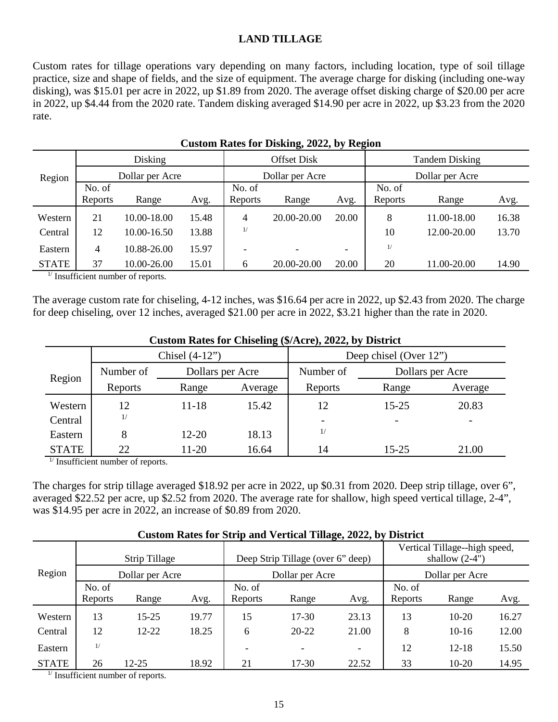#### **LAND TILLAGE**

Custom rates for tillage operations vary depending on many factors, including location, type of soil tillage practice, size and shape of fields, and the size of equipment. The average charge for disking (including one-way disking), was \$15.01 per acre in 2022, up \$1.89 from 2020. The average offset disking charge of \$20.00 per acre in 2022, up \$4.44 from the 2020 rate. Tandem disking averaged \$14.90 per acre in 2022, up \$3.23 from the 2020 rate.

|                           | -22            |                      |                 |                    |                 |                          |                       |             |       |  |  |
|---------------------------|----------------|----------------------|-----------------|--------------------|-----------------|--------------------------|-----------------------|-------------|-------|--|--|
|                           |                | Disking              |                 | <b>Offset Disk</b> |                 |                          | <b>Tandem Disking</b> |             |       |  |  |
| Dollar per Acre<br>Region |                |                      | Dollar per Acre |                    | Dollar per Acre |                          |                       |             |       |  |  |
|                           | No. of         |                      |                 | No. of             |                 |                          | No. of                |             |       |  |  |
|                           | Reports        | Range                | Avg.            | Reports            | Range           | Avg.                     | Reports               | Range       | Avg.  |  |  |
| Western                   | 21             | 10.00-18.00          | 15.48           | 4                  | 20.00-20.00     | 20.00                    | 8                     | 11.00-18.00 | 16.38 |  |  |
| Central                   | 12             | 10.00-16.50          | 13.88           | 1/                 |                 |                          | 10                    | 12.00-20.00 | 13.70 |  |  |
| Eastern                   | $\overline{4}$ | 10.88-26.00          | 15.97           |                    |                 | $\overline{\phantom{0}}$ | 1/                    |             |       |  |  |
| <b>STATE</b>              | 37             | 10.00-26.00          | 15.01           | 6                  | 20.00-20.00     | 20.00                    | 20                    | 11.00-20.00 | 14.90 |  |  |
| $1/\sqrt{ }$              | $\sim$ $\sim$  | $\sim$ $\sim$ $\sim$ |                 |                    |                 |                          |                       |             |       |  |  |

|  | <b>Custom Rates for Disking, 2022, by Region</b> |  |  |
|--|--------------------------------------------------|--|--|
|  |                                                  |  |  |

 $<sup>1</sup>$  Insufficient number of reports.</sup>

The average custom rate for chiseling, 4-12 inches, was \$16.64 per acre in 2022, up \$2.43 from 2020. The charge for deep chiseling, over 12 inches, averaged \$21.00 per acre in 2022, \$3.21 higher than the rate in 2020.

|              | Castom Rates for Chisening ( $\psi$ /1000), 2022, by District |                  |         |                        |                  |         |  |  |  |  |  |
|--------------|---------------------------------------------------------------|------------------|---------|------------------------|------------------|---------|--|--|--|--|--|
|              |                                                               | Chisel $(4-12)$  |         | Deep chisel (Over 12") |                  |         |  |  |  |  |  |
| Region       | Number of                                                     | Dollars per Acre |         | Number of              | Dollars per Acre |         |  |  |  |  |  |
|              | Reports                                                       | Range            | Average | Reports                | Range            | Average |  |  |  |  |  |
| Western      | 12                                                            | $11 - 18$        | 15.42   | 12                     | $15 - 25$        | 20.83   |  |  |  |  |  |
| Central      | 1/                                                            |                  |         |                        |                  |         |  |  |  |  |  |
| Eastern      | 8                                                             | $12 - 20$        | 18.13   | 1/                     |                  |         |  |  |  |  |  |
| <b>STATE</b> | 22                                                            | 11-20            | 16.64   | 14                     | $15 - 25$        | 21.00   |  |  |  |  |  |

#### **Custom Rates for Chiseling (\$/Acre), 2022, by District**

 $<sup>1</sup>$  Insufficient number of reports.</sup>

The charges for strip tillage averaged \$18.92 per acre in 2022, up \$0.31 from 2020. Deep strip tillage, over 6", averaged \$22.52 per acre, up \$2.52 from 2020. The average rate for shallow, high speed vertical tillage, 2-4", was \$14.95 per acre in 2022, an increase of \$0.89 from 2020.

|              | Custom Kates for Birip and Vertical Tinage, 2022, by District |               |       |                   |                                   |                          |                   |                                                   |       |  |  |
|--------------|---------------------------------------------------------------|---------------|-------|-------------------|-----------------------------------|--------------------------|-------------------|---------------------------------------------------|-------|--|--|
|              |                                                               | Strip Tillage |       |                   | Deep Strip Tillage (over 6" deep) |                          |                   | Vertical Tillage--high speed,<br>shallow $(2-4")$ |       |  |  |
| Region       | Dollar per Acre                                               |               |       |                   | Dollar per Acre                   |                          |                   | Dollar per Acre                                   |       |  |  |
|              | No. of<br>Reports                                             | Range         | Avg.  | No. of<br>Reports | Range                             | Avg.                     | No. of<br>Reports | Range                                             | Avg.  |  |  |
| Western      | 13                                                            | $15 - 25$     | 19.77 | 15                | $17 - 30$                         | 23.13                    | 13                | $10 - 20$                                         | 16.27 |  |  |
| Central      | 12                                                            | $12 - 22$     | 18.25 | 6                 | $20 - 22$                         | 21.00                    | 8                 | $10-16$                                           | 12.00 |  |  |
| Eastern      | 1/                                                            |               |       |                   | $\overline{\phantom{0}}$          | $\overline{\phantom{a}}$ | 12                | $12 - 18$                                         | 15.50 |  |  |
| <b>STATE</b> | 26                                                            | $12 - 25$     | 18.92 | 21                | 17-30                             | 22.52                    | 33                | $10-20$                                           | 14.95 |  |  |

#### **Custom Rates for Strip and Vertical Tillage, 2022, by District**

 $<sup>1</sup>$  Insufficient number of reports.</sup>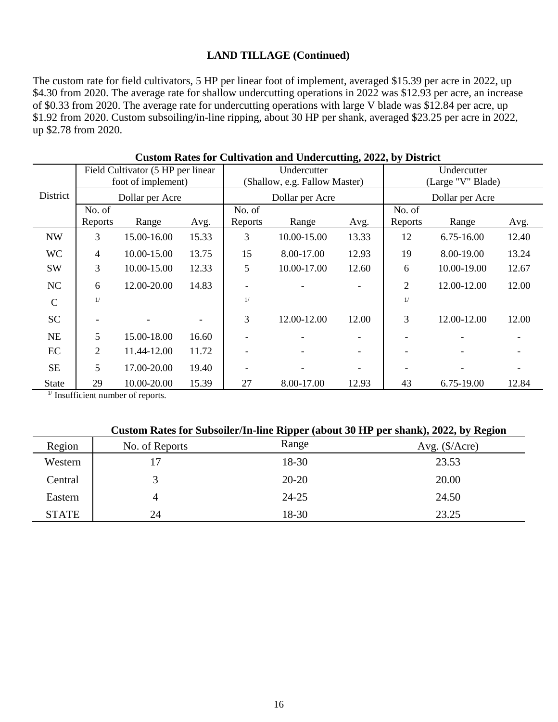#### **LAND TILLAGE (Continued)**

The custom rate for field cultivators, 5 HP per linear foot of implement, averaged \$15.39 per acre in 2022, up \$4.30 from 2020. The average rate for shallow undercutting operations in 2022 was \$12.93 per acre, an increase of \$0.33 from 2020. The average rate for undercutting operations with large V blade was \$12.84 per acre, up \$1.92 from 2020. Custom subsoiling/in-line ripping, about 30 HP per shank, averaged \$23.25 per acre in 2022, up \$2.78 from 2020.

|                             | Field Cultivator (5 HP per linear<br>foot of implement) |             |                 |         | Undercutter<br>(Shallow, e.g. Fallow Master) |       |                | Undercutter<br>(Large "V" Blade) |       |  |
|-----------------------------|---------------------------------------------------------|-------------|-----------------|---------|----------------------------------------------|-------|----------------|----------------------------------|-------|--|
| District<br>Dollar per Acre |                                                         |             | Dollar per Acre |         | Dollar per Acre                              |       |                |                                  |       |  |
|                             | No. of                                                  |             |                 | No. of  |                                              |       | No. of         |                                  |       |  |
|                             | Reports                                                 | Range       | Avg.            | Reports | Range                                        | Avg.  | Reports        | Range                            | Avg.  |  |
| <b>NW</b>                   | 3                                                       | 15.00-16.00 | 15.33           | 3       | 10.00-15.00                                  | 13.33 | 12             | 6.75-16.00                       | 12.40 |  |
| <b>WC</b>                   | $\overline{4}$                                          | 10.00-15.00 | 13.75           | 15      | 8.00-17.00                                   | 12.93 | 19             | 8.00-19.00                       | 13.24 |  |
| <b>SW</b>                   | 3                                                       | 10.00-15.00 | 12.33           | 5       | 10.00-17.00                                  | 12.60 | 6              | 10.00-19.00                      | 12.67 |  |
| NC                          | 6                                                       | 12.00-20.00 | 14.83           |         |                                              |       | $\overline{c}$ | 12.00-12.00                      | 12.00 |  |
| $\mathsf{C}$                | 1/                                                      |             |                 | 1/      |                                              |       | 1/             |                                  |       |  |
| <b>SC</b>                   |                                                         |             |                 | 3       | 12.00-12.00                                  | 12.00 | 3              | 12.00-12.00                      | 12.00 |  |
| NE                          | 5                                                       | 15.00-18.00 | 16.60           |         |                                              |       |                |                                  |       |  |
| EC                          | $\overline{2}$                                          | 11.44-12.00 | 11.72           |         |                                              |       |                |                                  |       |  |
| <b>SE</b>                   | 5                                                       | 17.00-20.00 | 19.40           |         |                                              |       |                |                                  |       |  |
| <b>State</b>                | 29                                                      | 10.00-20.00 | 15.39           | 27      | 8.00-17.00                                   | 12.93 | 43             | 6.75-19.00                       | 12.84 |  |

| <b>Custom Rates for Cultivation and Undercutting, 2022, by District</b> |  |  |  |  |
|-------------------------------------------------------------------------|--|--|--|--|
|-------------------------------------------------------------------------|--|--|--|--|

 $1/$  Insufficient number of reports.

| Custom Rates for Subsoiler/In-line Ripper (about 30 HP per shank), 2022, by Region |
|------------------------------------------------------------------------------------|
|------------------------------------------------------------------------------------|

| Region       | No. of Reports | Range     | Avg. $(\frac{5}{\text{Area}})$ |
|--------------|----------------|-----------|--------------------------------|
| Western      | 17             | 18-30     | 23.53                          |
| Central      | 3              | $20 - 20$ | 20.00                          |
| Eastern      | 4              | $24 - 25$ | 24.50                          |
| <b>STATE</b> | 24             | 18-30     | 23.25                          |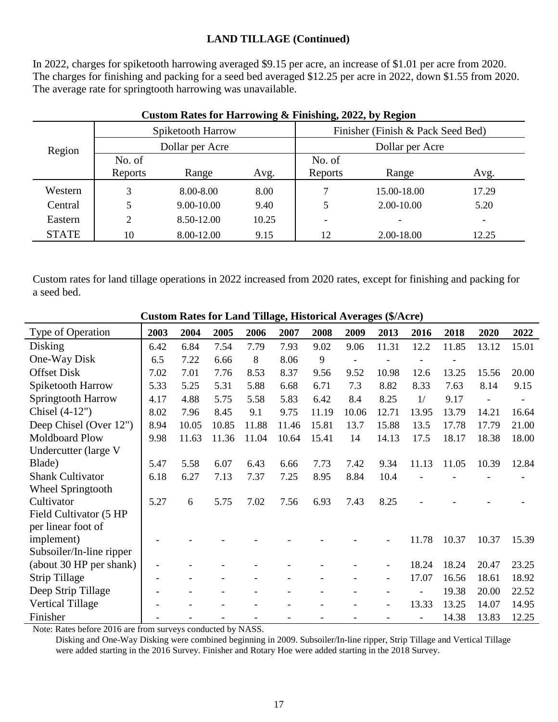#### **LAND TILLAGE (Continued)**

In 2022, charges for spiketooth harrowing averaged \$9.15 per acre, an increase of \$1.01 per acre from 2020. The charges for finishing and packing for a seed bed averaged \$12.25 per acre in 2022, down \$1.55 from 2020. The average rate for springtooth harrowing was unavailable.

| Region       |         | Spiketooth Harrow |       | Finisher (Finish & Pack Seed Bed) |             |                          |  |
|--------------|---------|-------------------|-------|-----------------------------------|-------------|--------------------------|--|
|              |         | Dollar per Acre   |       | Dollar per Acre                   |             |                          |  |
|              | No. of  |                   |       | No. of                            |             |                          |  |
|              | Reports | Range             | Avg.  | Reports                           | Range       | Avg.                     |  |
| Western      | 3       | 8.00-8.00         | 8.00  | 7                                 | 15.00-18.00 | 17.29                    |  |
| Central      |         | 9.00-10.00        | 9.40  | 5                                 | 2.00-10.00  | 5.20                     |  |
| Eastern      | 2       | 8.50-12.00        | 10.25 | $\overline{\phantom{a}}$          |             | $\overline{\phantom{a}}$ |  |
| <b>STATE</b> | 10      | 8.00-12.00        | 9.15  | 12                                | 2.00-18.00  | 12.25                    |  |

#### **Custom Rates for Harrowing & Finishing, 2022, by Region**

Custom rates for land tillage operations in 2022 increased from 2020 rates, except for finishing and packing for a seed bed.

| <b>Custom Rates for Land Tillage, Historical Averages (\$/Acre)</b> |      |       |       |       |       |       |       |       |                          |       |       |       |
|---------------------------------------------------------------------|------|-------|-------|-------|-------|-------|-------|-------|--------------------------|-------|-------|-------|
| Type of Operation                                                   | 2003 | 2004  | 2005  | 2006  | 2007  | 2008  | 2009  | 2013  | 2016                     | 2018  | 2020  | 2022  |
| Disking                                                             | 6.42 | 6.84  | 7.54  | 7.79  | 7.93  | 9.02  | 9.06  | 11.31 | 12.2                     | 11.85 | 13.12 | 15.01 |
| One-Way Disk                                                        | 6.5  | 7.22  | 6.66  | 8     | 8.06  | 9     |       |       |                          |       |       |       |
| <b>Offset Disk</b>                                                  | 7.02 | 7.01  | 7.76  | 8.53  | 8.37  | 9.56  | 9.52  | 10.98 | 12.6                     | 13.25 | 15.56 | 20.00 |
| Spiketooth Harrow                                                   | 5.33 | 5.25  | 5.31  | 5.88  | 6.68  | 6.71  | 7.3   | 8.82  | 8.33                     | 7.63  | 8.14  | 9.15  |
| Springtooth Harrow                                                  | 4.17 | 4.88  | 5.75  | 5.58  | 5.83  | 6.42  | 8.4   | 8.25  | 1/                       | 9.17  |       |       |
| Chisel $(4-12")$                                                    | 8.02 | 7.96  | 8.45  | 9.1   | 9.75  | 11.19 | 10.06 | 12.71 | 13.95                    | 13.79 | 14.21 | 16.64 |
| Deep Chisel (Over 12")                                              | 8.94 | 10.05 | 10.85 | 11.88 | 11.46 | 15.81 | 13.7  | 15.88 | 13.5                     | 17.78 | 17.79 | 21.00 |
| <b>Moldboard Plow</b>                                               | 9.98 | 11.63 | 11.36 | 11.04 | 10.64 | 15.41 | 14    | 14.13 | 17.5                     | 18.17 | 18.38 | 18.00 |
| Undercutter (large V                                                |      |       |       |       |       |       |       |       |                          |       |       |       |
| Blade)                                                              | 5.47 | 5.58  | 6.07  | 6.43  | 6.66  | 7.73  | 7.42  | 9.34  | 11.13                    | 11.05 | 10.39 | 12.84 |
| <b>Shank Cultivator</b>                                             | 6.18 | 6.27  | 7.13  | 7.37  | 7.25  | 8.95  | 8.84  | 10.4  |                          |       |       |       |
| <b>Wheel Springtooth</b>                                            |      |       |       |       |       |       |       |       |                          |       |       |       |
| Cultivator                                                          | 5.27 | 6     | 5.75  | 7.02  | 7.56  | 6.93  | 7.43  | 8.25  |                          |       |       |       |
| Field Cultivator (5 HP                                              |      |       |       |       |       |       |       |       |                          |       |       |       |
| per linear foot of                                                  |      |       |       |       |       |       |       |       |                          |       |       |       |
| implement)                                                          |      |       |       |       |       |       |       |       | 11.78                    | 10.37 | 10.37 | 15.39 |
| Subsoiler/In-line ripper                                            |      |       |       |       |       |       |       |       |                          |       |       |       |
| (about 30 HP per shank)                                             |      |       |       |       |       |       |       |       | 18.24                    | 18.24 | 20.47 | 23.25 |
| <b>Strip Tillage</b>                                                |      |       |       |       |       |       |       |       | 17.07                    | 16.56 | 18.61 | 18.92 |
| Deep Strip Tillage                                                  |      |       |       |       |       |       |       |       | $\overline{\phantom{a}}$ | 19.38 | 20.00 | 22.52 |
| <b>Vertical Tillage</b>                                             |      |       |       |       |       |       |       |       | 13.33                    | 13.25 | 14.07 | 14.95 |
| Finisher                                                            |      |       |       |       |       |       |       |       |                          | 14.38 | 13.83 | 12.25 |

Note: Rates before 2016 are from surveys conducted by NASS.

 Disking and One-Way Disking were combined beginning in 2009. Subsoiler/In-line ripper, Strip Tillage and Vertical Tillage were added starting in the 2016 Survey. Finisher and Rotary Hoe were added starting in the 2018 Survey.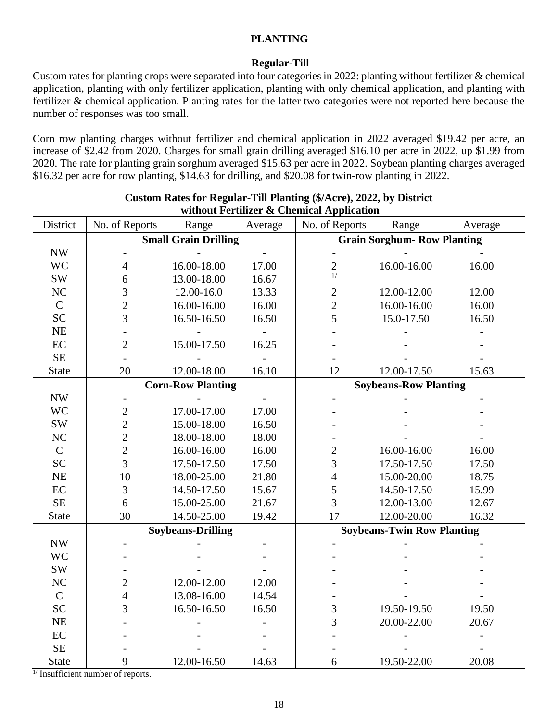#### **PLANTING**

#### **Regular-Till**

Custom rates for planting crops were separated into four categories in 2022: planting without fertilizer & chemical application, planting with only fertilizer application, planting with only chemical application, and planting with fertilizer & chemical application. Planting rates for the latter two categories were not reported here because the number of responses was too small.

Corn row planting charges without fertilizer and chemical application in 2022 averaged \$19.42 per acre, an increase of \$2.42 from 2020. Charges for small grain drilling averaged \$16.10 per acre in 2022, up \$1.99 from 2020. The rate for planting grain sorghum averaged \$15.63 per acre in 2022. Soybean planting charges averaged \$16.32 per acre for row planting, \$14.63 for drilling, and \$20.08 for twin-row planting in 2022.

| District                 | No. of Reports                                           | Range                       | Average | миной гегингег & Спенисаг Аррисайон<br>No. of Reports | Range                              | Average |
|--------------------------|----------------------------------------------------------|-----------------------------|---------|-------------------------------------------------------|------------------------------------|---------|
|                          |                                                          | <b>Small Grain Drilling</b> |         |                                                       | <b>Grain Sorghum- Row Planting</b> |         |
| $\ensuremath{\text{NW}}$ |                                                          |                             |         |                                                       |                                    |         |
| <b>WC</b>                | $\overline{4}$                                           | 16.00-18.00                 | 17.00   | $\overline{2}$                                        | 16.00-16.00                        | 16.00   |
| <b>SW</b>                | $\sqrt{6}$                                               | 13.00-18.00                 | 16.67   | 1/                                                    |                                    |         |
| NC                       | 3                                                        | 12.00-16.0                  | 13.33   | $\mathbf{2}$                                          | 12.00-12.00                        | 12.00   |
| $\mathbf C$              | $\overline{2}$                                           | 16.00-16.00                 | 16.00   | $\overline{2}$                                        | 16.00-16.00                        | 16.00   |
| <b>SC</b>                | 3                                                        | 16.50-16.50                 | 16.50   | 5                                                     | 15.0-17.50                         | 16.50   |
| <b>NE</b>                |                                                          |                             |         |                                                       |                                    |         |
| EC                       | $\mathbf{2}$                                             | 15.00-17.50                 | 16.25   |                                                       |                                    |         |
| <b>SE</b>                |                                                          |                             |         |                                                       |                                    |         |
| <b>State</b>             | 20                                                       | 12.00-18.00                 | 16.10   | 12                                                    | 12.00-17.50                        | 15.63   |
|                          |                                                          | <b>Corn-Row Planting</b>    |         |                                                       | <b>Soybeans-Row Planting</b>       |         |
| $\ensuremath{\text{NW}}$ |                                                          |                             |         |                                                       |                                    |         |
| <b>WC</b>                | $\overline{c}$                                           | 17.00-17.00                 | 17.00   |                                                       |                                    |         |
| <b>SW</b>                | $\overline{2}$                                           | 15.00-18.00                 | 16.50   |                                                       |                                    |         |
| $\rm NC$                 | $\overline{c}$                                           | 18.00-18.00                 | 18.00   |                                                       |                                    |         |
| $\mathbf C$              | $\overline{c}$                                           | 16.00-16.00                 | 16.00   | $\overline{c}$                                        | 16.00-16.00                        | 16.00   |
| <b>SC</b>                | $\overline{3}$                                           | 17.50-17.50                 | 17.50   | 3                                                     | 17.50-17.50                        | 17.50   |
| NE                       | 10                                                       | 18.00-25.00                 | 21.80   | $\overline{\mathcal{L}}$                              | 15.00-20.00                        | 18.75   |
| $\rm EC$                 | 3                                                        | 14.50-17.50                 | 15.67   | 5                                                     | 14.50-17.50                        | 15.99   |
| <b>SE</b>                | 6                                                        | 15.00-25.00                 | 21.67   | $\overline{3}$                                        | 12.00-13.00                        | 12.67   |
| <b>State</b>             | 30                                                       | 14.50-25.00                 | 19.42   | 17                                                    | 12.00-20.00                        | 16.32   |
|                          |                                                          | <b>Soybeans-Drilling</b>    |         |                                                       | <b>Soybeans-Twin Row Planting</b>  |         |
| <b>NW</b>                |                                                          |                             |         |                                                       |                                    |         |
| <b>WC</b>                |                                                          |                             |         |                                                       |                                    |         |
| <b>SW</b>                |                                                          |                             |         |                                                       |                                    |         |
| NC                       | $\overline{c}$                                           | 12.00-12.00                 | 12.00   |                                                       |                                    |         |
| $\mathsf{C}$             | $\overline{4}$                                           | 13.08-16.00                 | 14.54   |                                                       |                                    |         |
| <b>SC</b>                | 3                                                        | 16.50-16.50                 | 16.50   | 3                                                     | 19.50-19.50                        | 19.50   |
| <b>NE</b>                |                                                          |                             |         | 3                                                     | 20.00-22.00                        | 20.67   |
| EC                       |                                                          |                             |         |                                                       |                                    |         |
| <b>SE</b>                |                                                          |                             |         |                                                       |                                    |         |
| <b>State</b>             | 9<br>$\frac{1}{\sqrt{2}}$ Incufficiant number of reports | 12.00-16.50                 | 14.63   | 6                                                     | 19.50-22.00                        | 20.08   |

#### **Custom Rates for Regular-Till Planting (\$/Acre), 2022, by District** without Fertilizer & Chemical Application

Insufficient number of reports.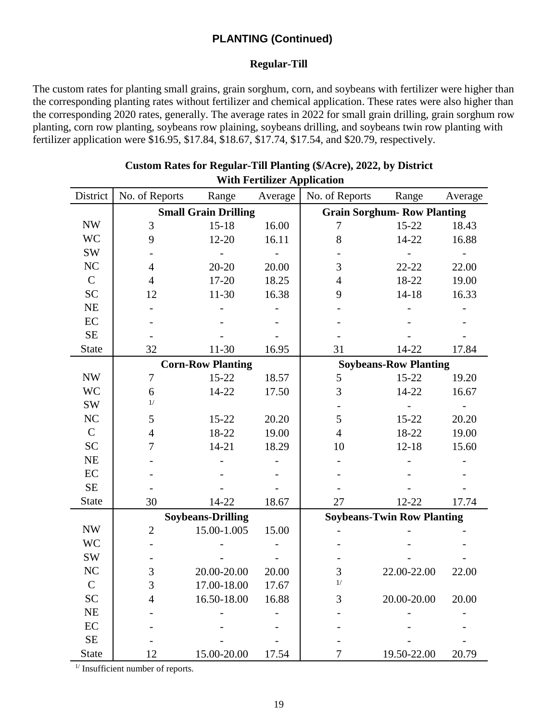#### **Regular-Till**

The custom rates for planting small grains, grain sorghum, corn, and soybeans with fertilizer were higher than the corresponding planting rates without fertilizer and chemical application. These rates were also higher than the corresponding 2020 rates, generally. The average rates in 2022 for small grain drilling, grain sorghum row planting, corn row planting, soybeans row plaining, soybeans drilling, and soybeans twin row planting with fertilizer application were \$16.95, \$17.84, \$18.67, \$17.74, \$17.54, and \$20.79, respectively.

|               | with Ferthizer Application |                             |         |                                   |                                    |         |  |  |  |  |
|---------------|----------------------------|-----------------------------|---------|-----------------------------------|------------------------------------|---------|--|--|--|--|
| District      | No. of Reports             | Range                       | Average | No. of Reports                    | Range                              | Average |  |  |  |  |
|               |                            | <b>Small Grain Drilling</b> |         |                                   | <b>Grain Sorghum- Row Planting</b> |         |  |  |  |  |
| <b>NW</b>     | 3                          | $15 - 18$                   | 16.00   | 7                                 | $15 - 22$                          | 18.43   |  |  |  |  |
| <b>WC</b>     | 9                          | 12-20                       | 16.11   | 8                                 | 14-22                              | 16.88   |  |  |  |  |
| SW            |                            |                             |         |                                   |                                    |         |  |  |  |  |
| NC            | $\overline{4}$             | $20 - 20$                   | 20.00   | 3                                 | $22 - 22$                          | 22.00   |  |  |  |  |
| $\mathsf{C}$  | $\overline{4}$             | $17 - 20$                   | 18.25   | $\overline{4}$                    | 18-22                              | 19.00   |  |  |  |  |
| <b>SC</b>     | 12                         | $11-30$                     | 16.38   | 9                                 | $14 - 18$                          | 16.33   |  |  |  |  |
| NE            |                            |                             |         |                                   |                                    |         |  |  |  |  |
| EC            |                            |                             |         |                                   |                                    |         |  |  |  |  |
| $\rm SE$      |                            |                             |         |                                   |                                    |         |  |  |  |  |
| <b>State</b>  | 32                         | 11-30                       | 16.95   | 31                                | 14-22                              | 17.84   |  |  |  |  |
|               |                            | <b>Corn-Row Planting</b>    |         |                                   | <b>Soybeans-Row Planting</b>       |         |  |  |  |  |
| <b>NW</b>     | $\overline{7}$             | $15 - 22$                   | 18.57   | 5                                 | $15 - 22$                          | 19.20   |  |  |  |  |
| <b>WC</b>     | 6                          | 14-22                       | 17.50   | 3                                 | 14-22                              | 16.67   |  |  |  |  |
| SW            | 1/                         |                             |         |                                   |                                    |         |  |  |  |  |
| NC            | 5                          | $15 - 22$                   | 20.20   | 5                                 | $15 - 22$                          | 20.20   |  |  |  |  |
| $\mathbf C$   | $\overline{4}$             | 18-22                       | 19.00   | $\overline{4}$                    | 18-22                              | 19.00   |  |  |  |  |
| <b>SC</b>     | 7                          | $14 - 21$                   | 18.29   | 10                                | $12 - 18$                          | 15.60   |  |  |  |  |
| NE            |                            |                             |         |                                   |                                    |         |  |  |  |  |
| EC            |                            |                             |         |                                   |                                    |         |  |  |  |  |
| $\rm SE$      |                            |                             |         |                                   |                                    |         |  |  |  |  |
| <b>State</b>  | 30                         | 14-22                       | 18.67   | 27                                | $12 - 22$                          | 17.74   |  |  |  |  |
|               |                            | <b>Soybeans-Drilling</b>    |         | <b>Soybeans-Twin Row Planting</b> |                                    |         |  |  |  |  |
| <b>NW</b>     | $\mathbf{2}$               | 15.00-1.005                 | 15.00   |                                   |                                    |         |  |  |  |  |
| <b>WC</b>     |                            |                             |         |                                   |                                    |         |  |  |  |  |
| SW            |                            |                             |         |                                   |                                    |         |  |  |  |  |
| NC            | $\mathfrak{Z}$             | 20.00-20.00                 | 20.00   | 3                                 | 22.00-22.00                        | 22.00   |  |  |  |  |
| $\mathcal{C}$ | $\mathfrak{Z}$             | 17.00-18.00                 | 17.67   | $1/$                              |                                    |         |  |  |  |  |
| <b>SC</b>     | 4                          | 16.50-18.00                 | 16.88   | 3                                 | 20.00-20.00                        | 20.00   |  |  |  |  |
| NE            |                            |                             |         |                                   |                                    |         |  |  |  |  |
| EC            |                            |                             |         |                                   |                                    |         |  |  |  |  |
| $\rm SE$      |                            |                             |         |                                   |                                    |         |  |  |  |  |
| <b>State</b>  | 12                         | 15.00-20.00                 | 17.54   | 7                                 | 19.50-22.00                        | 20.79   |  |  |  |  |

#### **Custom Rates for Regular-Till Planting (\$/Acre), 2022, by District** With Fertilizer Application

<sup>1/</sup> Insufficient number of reports.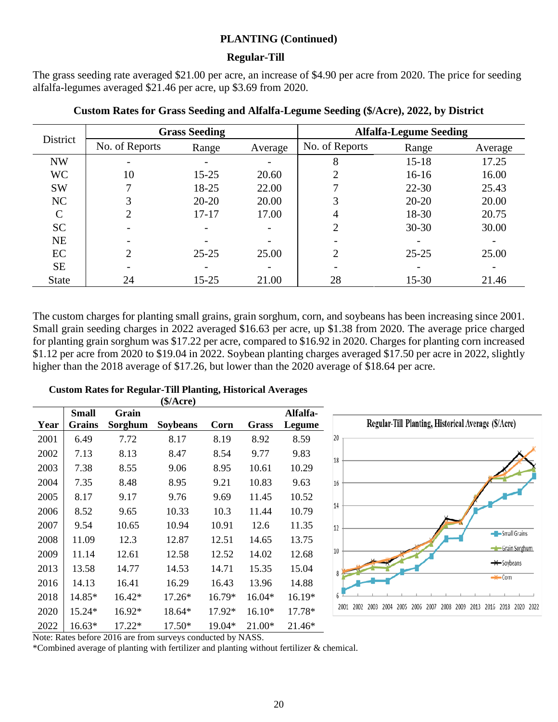#### **Regular-Till**

The grass seeding rate averaged \$21.00 per acre, an increase of \$4.90 per acre from 2020. The price for seeding alfalfa-legumes averaged \$21.46 per acre, up \$3.69 from 2020.

| District      |                | <b>Grass Seeding</b>     |         | <b>Alfalfa-Legume Seeding</b> |           |         |  |
|---------------|----------------|--------------------------|---------|-------------------------------|-----------|---------|--|
|               | No. of Reports | Range                    | Average | No. of Reports                | Range     | Average |  |
| <b>NW</b>     |                |                          |         | 8                             | $15 - 18$ | 17.25   |  |
| <b>WC</b>     | 10             | $15 - 25$                | 20.60   |                               | $16-16$   | 16.00   |  |
| <b>SW</b>     | ┓              | 18-25                    | 22.00   |                               | $22 - 30$ | 25.43   |  |
| NC            | 3              | $20 - 20$                | 20.00   | 3                             | $20 - 20$ | 20.00   |  |
| $\mathcal{C}$ | $\overline{2}$ | $17 - 17$                | 17.00   |                               | 18-30     | 20.75   |  |
| <b>SC</b>     |                | $\overline{\phantom{a}}$ |         | 2                             | $30 - 30$ | 30.00   |  |
| <b>NE</b>     |                |                          |         |                               |           |         |  |
| EC            | $\overline{2}$ | $25 - 25$                | 25.00   | $\overline{2}$                | $25 - 25$ | 25.00   |  |
| <b>SE</b>     |                |                          |         |                               |           |         |  |
| <b>State</b>  | 24             | 15-25                    | 21.00   | 28                            | $15 - 30$ | 21.46   |  |

#### **Custom Rates for Grass Seeding and Alfalfa-Legume Seeding (\$/Acre), 2022, by District**

The custom charges for planting small grains, grain sorghum, corn, and soybeans has been increasing since 2001. Small grain seeding charges in 2022 averaged \$16.63 per acre, up \$1.38 from 2020. The average price charged for planting grain sorghum was \$17.22 per acre, compared to \$16.92 in 2020. Charges for planting corn increased \$1.12 per acre from 2020 to \$19.04 in 2022. Soybean planting charges averaged \$17.50 per acre in 2022, slightly higher than the 2018 average of \$17.26, but lower than the 2020 average of \$18.64 per acre.

|      |                               |                  | (\$/Arcre)      |        |              |                    |                                                                                                           |
|------|-------------------------------|------------------|-----------------|--------|--------------|--------------------|-----------------------------------------------------------------------------------------------------------|
| Year | <b>Small</b><br><b>Grains</b> | Grain<br>Sorghum | <b>Soybeans</b> | Corn   | <b>Grass</b> | Alfalfa-<br>Legume | Regular-Till Planting, Historical Average (\$/Acre)                                                       |
| 2001 | 6.49                          | 7.72             | 8.17            | 8.19   | 8.92         | 8.59               | 20                                                                                                        |
| 2002 | 7.13                          | 8.13             | 8.47            | 8.54   | 9.77         | 9.83               |                                                                                                           |
| 2003 | 7.38                          | 8.55             | 9.06            | 8.95   | 10.61        | 10.29              | 18                                                                                                        |
| 2004 | 7.35                          | 8.48             | 8.95            | 9.21   | 10.83        | 9.63               | 16                                                                                                        |
| 2005 | 8.17                          | 9.17             | 9.76            | 9.69   | 11.45        | 10.52              |                                                                                                           |
| 2006 | 8.52                          | 9.65             | 10.33           | 10.3   | 11.44        | 10.79              | 14                                                                                                        |
| 2007 | 9.54                          | 10.65            | 10.94           | 10.91  | 12.6         | 11.35              | 12                                                                                                        |
| 2008 | 11.09                         | 12.3             | 12.87           | 12.51  | 14.65        | 13.75              | -Small Grains                                                                                             |
| 2009 | 11.14                         | 12.61            | 12.58           | 12.52  | 14.02        | 12.68              | Grain Sorghum<br>10                                                                                       |
| 2013 | 13.58                         | 14.77            | 14.53           | 14.71  | 15.35        | 15.04              | $\rightarrow$ Soybeans                                                                                    |
| 2016 | 14.13                         | 16.41            | 16.29           | 16.43  | 13.96        | 14.88              | $-$ Corn                                                                                                  |
| 2018 | 14.85*                        | 16.42*           | 17.26*          | 16.79* | 16.04*       | 16.19*             |                                                                                                           |
| 2020 | 15.24*                        | 16.92*           | 18.64*          | 17.92* | $16.10*$     | 17.78*             | 2002<br>2003<br>2004<br>2005<br>2007<br>2008<br>2009<br>2013<br>2016<br>2018<br>2020 2022<br>2006<br>2001 |
| 2022 | $16.63*$                      | 17.22*           | 17.50*          | 19.04* | $21.00*$     | 21.46*             |                                                                                                           |

#### **Custom Rates for Regular-Till Planting, Historical Averages**

Note: Rates before 2016 are from surveys conducted by NASS.

\*Combined average of planting with fertilizer and planting without fertilizer & chemical.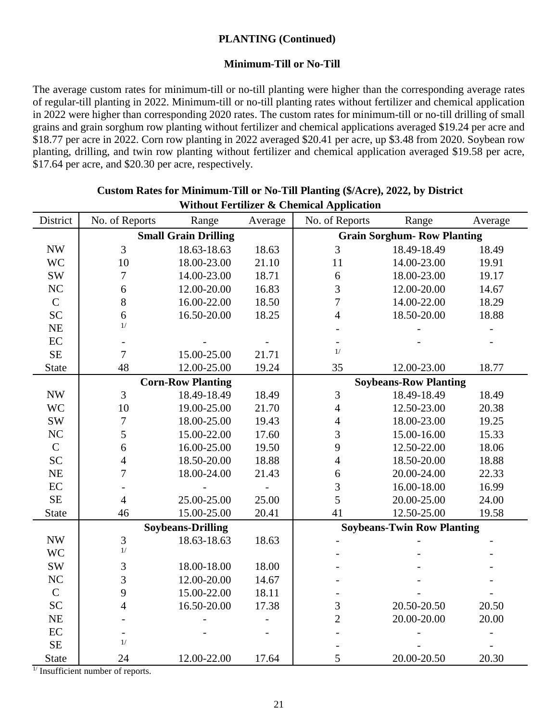#### **Minimum-Till or No-Till**

The average custom rates for minimum-till or no-till planting were higher than the corresponding average rates of regular-till planting in 2022. Minimum-till or no-till planting rates without fertilizer and chemical application in 2022 were higher than corresponding 2020 rates. The custom rates for minimum-till or no-till drilling of small grains and grain sorghum row planting without fertilizer and chemical applications averaged \$19.24 per acre and \$18.77 per acre in 2022. Corn row planting in 2022 averaged \$20.41 per acre, up \$3.48 from 2020. Soybean row planting, drilling, and twin row planting without fertilizer and chemical application averaged \$19.58 per acre, \$17.64 per acre, and \$20.30 per acre, respectively.

| District                 | No. of Reports | Range                       | Average | о ними гегингег & сисинса дррисации<br>No. of Reports | Range                              | Average |
|--------------------------|----------------|-----------------------------|---------|-------------------------------------------------------|------------------------------------|---------|
|                          |                |                             |         |                                                       | <b>Grain Sorghum- Row Planting</b> |         |
|                          |                | <b>Small Grain Drilling</b> |         |                                                       |                                    |         |
| $\ensuremath{\text{NW}}$ | 3              | 18.63-18.63                 | 18.63   | 3                                                     | 18.49-18.49                        | 18.49   |
| <b>WC</b>                | 10             | 18.00-23.00                 | 21.10   | 11                                                    | 14.00-23.00                        | 19.91   |
| <b>SW</b>                | $\overline{7}$ | 14.00-23.00                 | 18.71   | 6                                                     | 18.00-23.00                        | 19.17   |
| NC                       | 6              | 12.00-20.00                 | 16.83   | 3                                                     | 12.00-20.00                        | 14.67   |
| $\mathbf C$              | 8              | 16.00-22.00                 | 18.50   | $\boldsymbol{7}$                                      | 14.00-22.00                        | 18.29   |
| <b>SC</b>                | 6<br>1/        | 16.50-20.00                 | 18.25   | $\overline{4}$                                        | 18.50-20.00                        | 18.88   |
| $NE$                     |                |                             |         |                                                       |                                    |         |
| $\rm EC$                 |                |                             |         |                                                       |                                    |         |
| $\rm SE$                 | $\overline{7}$ | 15.00-25.00                 | 21.71   | 1/                                                    |                                    |         |
| <b>State</b>             | 48             | 12.00-25.00                 | 19.24   | 35                                                    | 12.00-23.00                        | 18.77   |
|                          |                | <b>Corn-Row Planting</b>    |         |                                                       | <b>Soybeans-Row Planting</b>       |         |
| $\ensuremath{\text{NW}}$ | 3              | 18.49-18.49                 | 18.49   | 3                                                     | 18.49-18.49                        | 18.49   |
| <b>WC</b>                | 10             | 19.00-25.00                 | 21.70   | $\overline{4}$                                        | 12.50-23.00                        | 20.38   |
| <b>SW</b>                | 7              | 18.00-25.00                 | 19.43   | $\overline{4}$                                        | 18.00-23.00                        | 19.25   |
| NC                       | 5              | 15.00-22.00                 | 17.60   | 3                                                     | 15.00-16.00                        | 15.33   |
| $\mathbf C$              | 6              | 16.00-25.00                 | 19.50   | 9                                                     | 12.50-22.00                        | 18.06   |
| <b>SC</b>                | $\overline{4}$ | 18.50-20.00                 | 18.88   | $\overline{4}$                                        | 18.50-20.00                        | 18.88   |
| $NE$                     | $\overline{7}$ | 18.00-24.00                 | 21.43   | 6                                                     | 20.00-24.00                        | 22.33   |
| $\rm EC$                 |                |                             |         | 3                                                     | 16.00-18.00                        | 16.99   |
| SE                       | $\overline{4}$ | 25.00-25.00                 | 25.00   | 5                                                     | 20.00-25.00                        | 24.00   |
| <b>State</b>             | 46             | 15.00-25.00                 | 20.41   | 41                                                    | 12.50-25.00                        | 19.58   |
|                          |                | <b>Soybeans-Drilling</b>    |         |                                                       | <b>Soybeans-Twin Row Planting</b>  |         |
| $\ensuremath{\text{NW}}$ | $\mathfrak{Z}$ | 18.63-18.63                 | 18.63   |                                                       |                                    |         |
| <b>WC</b>                | 1/             |                             |         |                                                       |                                    |         |
| <b>SW</b>                | 3              | 18.00-18.00                 | 18.00   |                                                       |                                    |         |
| NC                       | 3              | 12.00-20.00                 | 14.67   |                                                       |                                    |         |
| $\mathbf C$              | 9              | 15.00-22.00                 | 18.11   |                                                       |                                    |         |
| <b>SC</b>                | $\overline{4}$ | 16.50-20.00                 | 17.38   | $\mathfrak{Z}$                                        | 20.50-20.50                        | 20.50   |
| $NE$                     |                |                             |         | $\overline{2}$                                        | 20.00-20.00                        | 20.00   |
| $\rm EC$                 |                |                             |         |                                                       |                                    |         |
| SE                       | 1/             |                             |         |                                                       |                                    |         |
| <b>State</b>             | 24             | 12.00-22.00                 | 17.64   | 5                                                     | 20.00-20.50                        | 20.30   |

#### **Custom Rates for Minimum-Till or No-Till Planting (\$/Acre), 2022, by District** Without Fertilizer & Chemical Application

 $\frac{1}{I}$  Insufficient number of reports.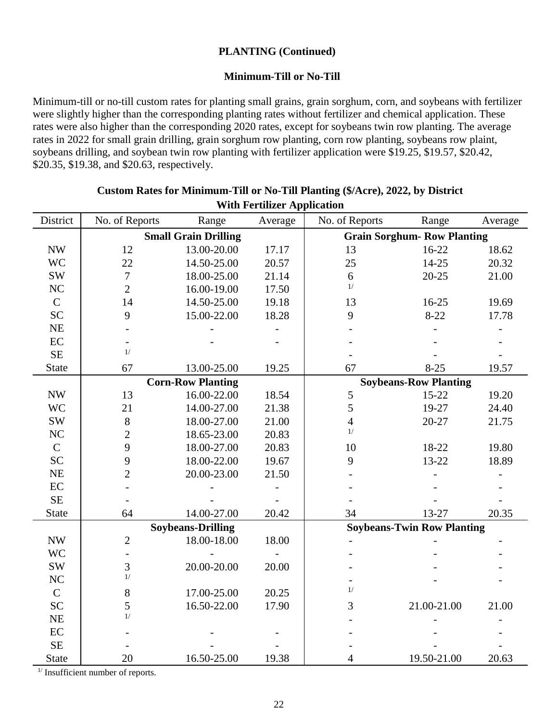#### **Minimum-Till or No-Till**

Minimum-till or no-till custom rates for planting small grains, grain sorghum, corn, and soybeans with fertilizer were slightly higher than the corresponding planting rates without fertilizer and chemical application. These rates were also higher than the corresponding 2020 rates, except for soybeans twin row planting. The average rates in 2022 for small grain drilling, grain sorghum row planting, corn row planting, soybeans row plaint, soybeans drilling, and soybean twin row planting with fertilizer application were \$19.25, \$19.57, \$20.42, \$20.35, \$19.38, and \$20.63, respectively.

|                          | WILLE FOR UNLER Application |                             |         |                |                                   |         |  |
|--------------------------|-----------------------------|-----------------------------|---------|----------------|-----------------------------------|---------|--|
| District                 | No. of Reports              | Range                       | Average | No. of Reports | Range                             | Average |  |
|                          |                             | <b>Small Grain Drilling</b> |         |                | <b>Grain Sorghum-Row Planting</b> |         |  |
| $\ensuremath{\text{NW}}$ | 12                          | 13.00-20.00                 | 17.17   | 13             | $16 - 22$                         | 18.62   |  |
| <b>WC</b>                | 22                          | 14.50-25.00                 | 20.57   | 25             | 14-25                             | 20.32   |  |
| <b>SW</b>                | $\overline{7}$              | 18.00-25.00                 | 21.14   | $\sqrt{6}$     | $20 - 25$                         | 21.00   |  |
| NC                       | $\overline{2}$              | 16.00-19.00                 | 17.50   | 1/             |                                   |         |  |
| $\mathsf{C}$             | 14                          | 14.50-25.00                 | 19.18   | 13             | 16-25                             | 19.69   |  |
| <b>SC</b>                | 9                           | 15.00-22.00                 | 18.28   | 9              | $8-22$                            | 17.78   |  |
| NE                       |                             |                             |         |                |                                   |         |  |
| $\rm EC$                 |                             |                             |         |                |                                   |         |  |
| <b>SE</b>                | 1/                          |                             |         |                |                                   |         |  |
| <b>State</b>             | 67                          | 13.00-25.00                 | 19.25   | 67             | $8 - 25$                          | 19.57   |  |
|                          |                             | <b>Corn-Row Planting</b>    |         |                | <b>Soybeans-Row Planting</b>      |         |  |
| <b>NW</b>                | 13                          | 16.00-22.00                 | 18.54   | 5              | $15-22$                           | 19.20   |  |
| <b>WC</b>                | 21                          | 14.00-27.00                 | 21.38   | $\sqrt{5}$     | 19-27                             | 24.40   |  |
| $\mathrm{SW}$            | $8\,$                       | 18.00-27.00                 | 21.00   | $\overline{4}$ | $20 - 27$                         | 21.75   |  |
| $\rm NC$                 | $\overline{c}$              | 18.65-23.00                 | 20.83   | 1/             |                                   |         |  |
| $\mathbf C$              | 9                           | 18.00-27.00                 | 20.83   | 10             | 18-22                             | 19.80   |  |
| <b>SC</b>                | 9                           | 18.00-22.00                 | 19.67   | 9              | 13-22                             | 18.89   |  |
| NE                       | $\overline{c}$              | 20.00-23.00                 | 21.50   |                |                                   |         |  |
| $\rm EC$                 |                             |                             |         |                |                                   |         |  |
| $\rm SE$                 |                             |                             |         |                |                                   |         |  |
| <b>State</b>             | 64                          | 14.00-27.00                 | 20.42   | 34             | 13-27                             | 20.35   |  |
|                          |                             | <b>Soybeans-Drilling</b>    |         |                | <b>Soybeans-Twin Row Planting</b> |         |  |
| <b>NW</b>                | $\mathbf{2}$                | 18.00-18.00                 | 18.00   |                |                                   |         |  |
| <b>WC</b>                |                             |                             |         |                |                                   |         |  |
| SW                       | 3                           | 20.00-20.00                 | 20.00   |                |                                   |         |  |
| NC                       | 1/                          |                             |         |                |                                   |         |  |
| $\mathbf C$              | $8\,$                       | 17.00-25.00                 | 20.25   | 1/             |                                   |         |  |
| <b>SC</b>                | 5                           | 16.50-22.00                 | 17.90   | 3              | 21.00-21.00                       | 21.00   |  |
| $\rm NE$                 | $1/$                        |                             |         |                |                                   |         |  |
| $\rm EC$                 |                             |                             |         |                |                                   |         |  |
| SE                       |                             |                             |         |                |                                   |         |  |
| <b>State</b>             | 20                          | 16.50-25.00                 | 19.38   | $\overline{4}$ | 19.50-21.00                       | 20.63   |  |

#### **Custom Rates for Minimum-Till or No-Till Planting (\$/Acre), 2022, by District With Fertilizer Application**

<sup>1/</sup> Insufficient number of reports.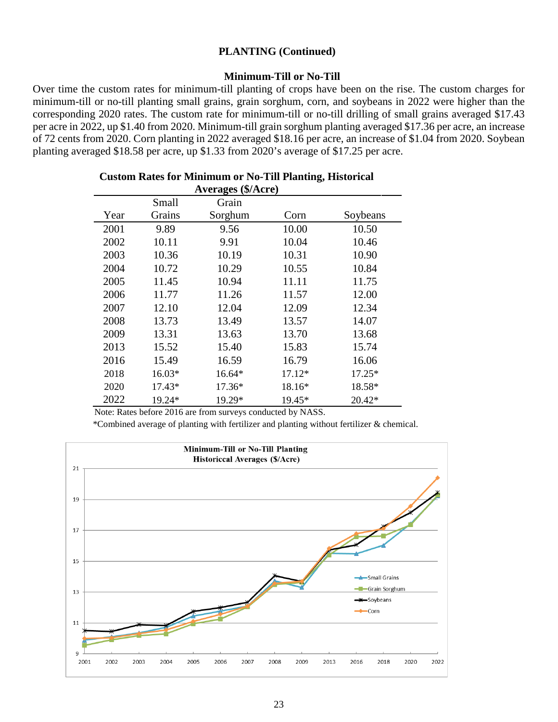#### **Minimum-Till or No-Till**

Over time the custom rates for minimum-till planting of crops have been on the rise. The custom charges for minimum-till or no-till planting small grains, grain sorghum, corn, and soybeans in 2022 were higher than the corresponding 2020 rates. The custom rate for minimum-till or no-till drilling of small grains averaged \$17.43 per acre in 2022, up \$1.40 from 2020. Minimum-till grain sorghum planting averaged \$17.36 per acre, an increase of 72 cents from 2020. Corn planting in 2022 averaged \$18.16 per acre, an increase of \$1.04 from 2020. Soybean planting averaged \$18.58 per acre, up \$1.33 from 2020's average of \$17.25 per acre.

| <b>Averages (\$/Acre)</b> |        |         |        |          |  |  |  |  |  |
|---------------------------|--------|---------|--------|----------|--|--|--|--|--|
|                           | Small  | Grain   |        |          |  |  |  |  |  |
| Year                      | Grains | Sorghum | Corn   | Soybeans |  |  |  |  |  |
| 2001                      | 9.89   | 9.56    | 10.00  | 10.50    |  |  |  |  |  |
| 2002                      | 10.11  | 9.91    | 10.04  | 10.46    |  |  |  |  |  |
| 2003                      | 10.36  | 10.19   | 10.31  | 10.90    |  |  |  |  |  |
| 2004                      | 10.72  | 10.29   | 10.55  | 10.84    |  |  |  |  |  |
| 2005                      | 11.45  | 10.94   | 11.11  | 11.75    |  |  |  |  |  |
| 2006                      | 11.77  | 11.26   | 11.57  | 12.00    |  |  |  |  |  |
| 2007                      | 12.10  | 12.04   | 12.09  | 12.34    |  |  |  |  |  |
| 2008                      | 13.73  | 13.49   | 13.57  | 14.07    |  |  |  |  |  |
| 2009                      | 13.31  | 13.63   | 13.70  | 13.68    |  |  |  |  |  |
| 2013                      | 15.52  | 15.40   | 15.83  | 15.74    |  |  |  |  |  |
| 2016                      | 15.49  | 16.59   | 16.79  | 16.06    |  |  |  |  |  |
| 2018                      | 16.03* | 16.64*  | 17.12* | 17.25*   |  |  |  |  |  |
| 2020                      | 17.43* | 17.36*  | 18.16* | 18.58*   |  |  |  |  |  |
| 2022                      | 19.24* | 19.29*  | 19.45* | 20.42*   |  |  |  |  |  |

### **Custom Rates for Minimum or No-Till Planting, Historical**

Note: Rates before 2016 are from surveys conducted by NASS.

\*Combined average of planting with fertilizer and planting without fertilizer & chemical.

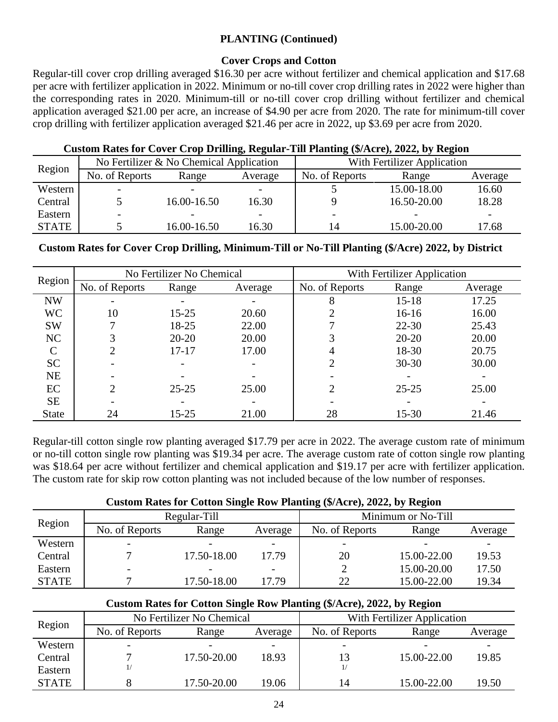#### **Cover Crops and Cotton**

Regular-till cover crop drilling averaged \$16.30 per acre without fertilizer and chemical application and \$17.68 per acre with fertilizer application in 2022. Minimum or no-till cover crop drilling rates in 2022 were higher than the corresponding rates in 2020. Minimum-till or no-till cover crop drilling without fertilizer and chemical application averaged \$21.00 per acre, an increase of \$4.90 per acre from 2020. The rate for minimum-till cover crop drilling with fertilizer application averaged \$21.46 per acre in 2022, up \$3.69 per acre from 2020.

#### **Custom Rates for Cover Crop Drilling, Regular-Till Planting (\$/Acre), 2022, by Region**

| Region       |                | No Fertilizer & No Chemical Application |         | With Fertilizer Application |             |         |  |
|--------------|----------------|-----------------------------------------|---------|-----------------------------|-------------|---------|--|
|              | No. of Reports | Range                                   | Average | No. of Reports              | Range       | Average |  |
| Western      |                | $\overline{\phantom{0}}$                |         |                             | 15.00-18.00 | 16.60   |  |
| Central      |                | 16.00-16.50                             | 16.30   |                             | 16.50-20.00 | 18.28   |  |
| Eastern      |                |                                         |         |                             |             |         |  |
| <b>STATE</b> |                | 16.00-16.50                             | 16.30   | 14                          | 15.00-20.00 | 17.68   |  |

#### **Custom Rates for Cover Crop Drilling, Minimum-Till or No-Till Planting (\$/Acre) 2022, by District**

| Region        |                | No Fertilizer No Chemical |         | With Fertilizer Application |           |         |  |
|---------------|----------------|---------------------------|---------|-----------------------------|-----------|---------|--|
|               | No. of Reports | Range                     | Average | No. of Reports              | Range     | Average |  |
| <b>NW</b>     |                |                           |         | 8                           | $15 - 18$ | 17.25   |  |
| <b>WC</b>     | 10             | $15 - 25$                 | 20.60   |                             | $16-16$   | 16.00   |  |
| <b>SW</b>     |                | 18-25                     | 22.00   |                             | $22 - 30$ | 25.43   |  |
| NC            |                | $20 - 20$                 | 20.00   |                             | $20 - 20$ | 20.00   |  |
| $\mathcal{C}$ | 2              | $17 - 17$                 | 17.00   |                             | 18-30     | 20.75   |  |
| <b>SC</b>     |                |                           |         |                             | $30 - 30$ | 30.00   |  |
| <b>NE</b>     |                |                           |         |                             |           |         |  |
| EC            | 2              | $25 - 25$                 | 25.00   |                             | $25 - 25$ | 25.00   |  |
| <b>SE</b>     |                |                           |         |                             |           |         |  |
| <b>State</b>  | 24             | $15 - 25$                 | 21.00   | 28                          | $15 - 30$ | 21.46   |  |

Regular-till cotton single row planting averaged \$17.79 per acre in 2022. The average custom rate of minimum or no-till cotton single row planting was \$19.34 per acre. The average custom rate of cotton single row planting was \$18.64 per acre without fertilizer and chemical application and \$19.17 per acre with fertilizer application. The custom rate for skip row cotton planting was not included because of the low number of responses.

#### **Custom Rates for Cotton Single Row Planting (\$/Acre), 2022, by Region**

| Region       |                | Regular-Till |         | Minimum or No-Till       |             |         |  |
|--------------|----------------|--------------|---------|--------------------------|-------------|---------|--|
|              | No. of Reports | Range        | Average | No. of Reports           | Range       | Average |  |
| Western      |                |              |         | $\overline{\phantom{a}}$ |             |         |  |
| Central      |                | 17.50-18.00  | 17.79   | 20                       | 15.00-22.00 | 19.53   |  |
| Eastern      |                |              |         |                          | 15.00-20.00 | 17.50   |  |
| <b>STATE</b> |                | 17.50-18.00  | 17.79   | 22                       | 15.00-22.00 | 19.34   |  |

#### **Custom Rates for Cotton Single Row Planting (\$/Acre), 2022, by Region**

| Region       |                | No Fertilizer No Chemical |         | With Fertilizer Application |             |         |  |
|--------------|----------------|---------------------------|---------|-----------------------------|-------------|---------|--|
|              | No. of Reports | Range                     | Average | No. of Reports              | Range       | Average |  |
| Western      |                |                           |         |                             |             |         |  |
| Central      |                | 17.50-20.00               | 18.93   | 13                          | 15.00-22.00 | 19.85   |  |
| Eastern      |                |                           |         |                             |             |         |  |
| <b>STATE</b> |                | 17.50-20.00               | 19.06   | 14                          | 15.00-22.00 | 19.50   |  |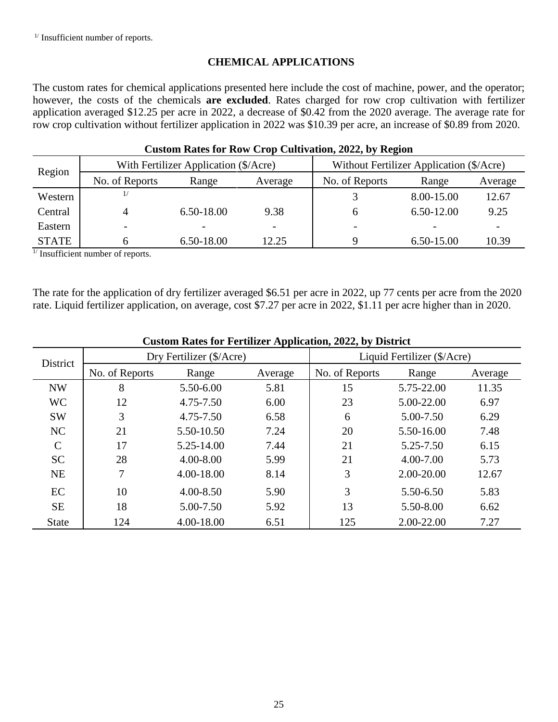<sup>1/</sup> Insufficient number of reports.

#### **CHEMICAL APPLICATIONS**

The custom rates for chemical applications presented here include the cost of machine, power, and the operator; however, the costs of the chemicals **are excluded**. Rates charged for row crop cultivation with fertilizer application averaged \$12.25 per acre in 2022, a decrease of \$0.42 from the 2020 average. The average rate for row crop cultivation without fertilizer application in 2022 was \$10.39 per acre, an increase of \$0.89 from 2020.

| Custom Kates for Kow Crop Cultivation, 2022, by Kegfon |                |                                       |                          |                                          |            |         |  |  |  |  |  |
|--------------------------------------------------------|----------------|---------------------------------------|--------------------------|------------------------------------------|------------|---------|--|--|--|--|--|
| Region                                                 |                | With Fertilizer Application (\$/Acre) |                          | Without Fertilizer Application (\$/Acre) |            |         |  |  |  |  |  |
|                                                        | No. of Reports | Range                                 | Average                  | No. of Reports                           | Range      | Average |  |  |  |  |  |
| Western                                                |                |                                       |                          |                                          | 8.00-15.00 | 12.67   |  |  |  |  |  |
| Central                                                |                | $6.50 - 18.00$                        | 9.38                     |                                          | 6.50-12.00 | 9.25    |  |  |  |  |  |
| Eastern                                                |                |                                       | $\overline{\phantom{0}}$ |                                          |            |         |  |  |  |  |  |
| <b>STATE</b>                                           |                | 6.50-18.00                            | 12.25                    | Q                                        | 6.50-15.00 | 10.39   |  |  |  |  |  |

#### **Custom Rates for Row Crop Cultivation, 2022, by Region**

<sup>1/</sup> Insufficient number of reports.

The rate for the application of dry fertilizer averaged \$6.51 per acre in 2022, up 77 cents per acre from the 2020 rate. Liquid fertilizer application, on average, cost \$7.27 per acre in 2022, \$1.11 per acre higher than in 2020.

| Custom Kates for Fertinger Application, 2022, by District |                |                          |         |                             |            |         |  |  |  |  |
|-----------------------------------------------------------|----------------|--------------------------|---------|-----------------------------|------------|---------|--|--|--|--|
| District                                                  |                | Dry Fertilizer (\$/Acre) |         | Liquid Fertilizer (\$/Acre) |            |         |  |  |  |  |
|                                                           | No. of Reports | Range                    | Average | No. of Reports              | Range      | Average |  |  |  |  |
| <b>NW</b>                                                 | 8              | 5.50-6.00                | 5.81    | 15                          | 5.75-22.00 | 11.35   |  |  |  |  |
| <b>WC</b>                                                 | 12             | 4.75-7.50                | 6.00    | 23                          | 5.00-22.00 | 6.97    |  |  |  |  |
| <b>SW</b>                                                 | 3              | 4.75-7.50                | 6.58    | 6                           | 5.00-7.50  | 6.29    |  |  |  |  |
| NC                                                        | 21             | 5.50-10.50               | 7.24    | 20                          | 5.50-16.00 | 7.48    |  |  |  |  |
| $\mathcal{C}$                                             | 17             | 5.25-14.00               | 7.44    | 21                          | 5.25-7.50  | 6.15    |  |  |  |  |
| <b>SC</b>                                                 | 28             | 4.00-8.00                | 5.99    | 21                          | 4.00-7.00  | 5.73    |  |  |  |  |
| <b>NE</b>                                                 |                | 4.00-18.00               | 8.14    | 3                           | 2.00-20.00 | 12.67   |  |  |  |  |
| EC                                                        | 10             | 4.00-8.50                | 5.90    | 3                           | 5.50-6.50  | 5.83    |  |  |  |  |
| <b>SE</b>                                                 | 18             | 5.00-7.50                | 5.92    | 13                          | 5.50-8.00  | 6.62    |  |  |  |  |
| <b>State</b>                                              | 124            | 4.00-18.00               | 6.51    | 125                         | 2.00-22.00 | 7.27    |  |  |  |  |

#### **Custom Rates for Fertilizer Application, 2022, by District**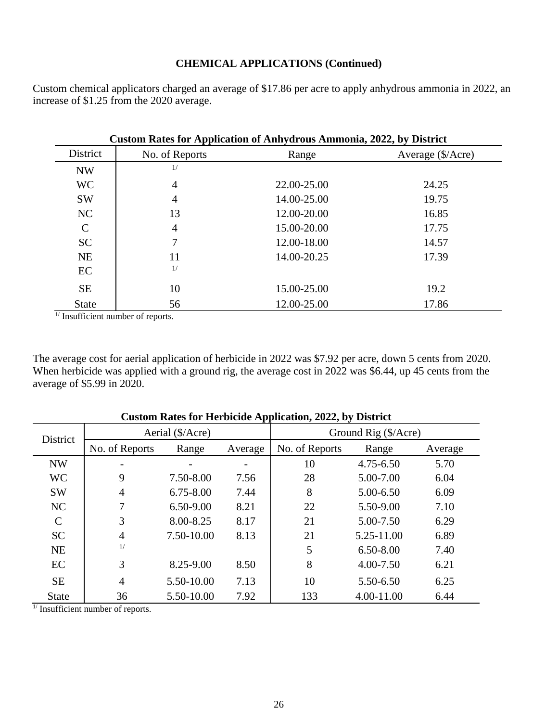#### **CHEMICAL APPLICATIONS (Continued)**

Custom chemical applicators charged an average of \$17.86 per acre to apply anhydrous ammonia in 2022, an increase of \$1.25 from the 2020 average.

|               | <b>Custom Rates for Application of Anhydrous Ammonia, 2022, by District</b> |             |                   |  |  |  |  |  |  |  |
|---------------|-----------------------------------------------------------------------------|-------------|-------------------|--|--|--|--|--|--|--|
| District      | No. of Reports                                                              | Range       | Average (\$/Acre) |  |  |  |  |  |  |  |
| <b>NW</b>     | 1/                                                                          |             |                   |  |  |  |  |  |  |  |
| <b>WC</b>     | $\overline{4}$                                                              | 22.00-25.00 | 24.25             |  |  |  |  |  |  |  |
| <b>SW</b>     | $\overline{4}$                                                              | 14.00-25.00 | 19.75             |  |  |  |  |  |  |  |
| NC            | 13                                                                          | 12.00-20.00 | 16.85             |  |  |  |  |  |  |  |
| $\mathcal{C}$ | 4                                                                           | 15.00-20.00 | 17.75             |  |  |  |  |  |  |  |
| <b>SC</b>     | 7                                                                           | 12.00-18.00 | 14.57             |  |  |  |  |  |  |  |
| <b>NE</b>     | 11                                                                          | 14.00-20.25 | 17.39             |  |  |  |  |  |  |  |
| EC            | 1/                                                                          |             |                   |  |  |  |  |  |  |  |
| <b>SE</b>     | 10                                                                          | 15.00-25.00 | 19.2              |  |  |  |  |  |  |  |
| <b>State</b>  | 56                                                                          | 12.00-25.00 | 17.86             |  |  |  |  |  |  |  |

 $\frac{1}{1}$  Insufficient number of reports.

The average cost for aerial application of herbicide in 2022 was \$7.92 per acre, down 5 cents from 2020. When herbicide was applied with a ground rig, the average cost in 2022 was \$6.44, up 45 cents from the average of \$5.99 in 2020.

| District      |                | Aerial (\$/Acre) |         | Ground Rig (\$/Acre) |               |         |  |
|---------------|----------------|------------------|---------|----------------------|---------------|---------|--|
|               | No. of Reports | Range            | Average | No. of Reports       | Range         | Average |  |
| <b>NW</b>     |                |                  |         | 10                   | $4.75 - 6.50$ | 5.70    |  |
| <b>WC</b>     | 9              | 7.50-8.00        | 7.56    | 28                   | 5.00-7.00     | 6.04    |  |
| <b>SW</b>     | $\overline{4}$ | $6.75 - 8.00$    | 7.44    | 8                    | 5.00-6.50     | 6.09    |  |
| NC            | 7              | $6.50 - 9.00$    | 8.21    | 22                   | 5.50-9.00     | 7.10    |  |
| $\mathcal{C}$ | 3              | 8.00-8.25        | 8.17    | 21                   | 5.00-7.50     | 6.29    |  |
| <b>SC</b>     | 4              | 7.50-10.00       | 8.13    | 21                   | 5.25-11.00    | 6.89    |  |
| <b>NE</b>     | 1/             |                  |         | 5                    | $6.50 - 8.00$ | 7.40    |  |
| EC            | 3              | 8.25-9.00        | 8.50    | 8                    | $4.00 - 7.50$ | 6.21    |  |
| <b>SE</b>     | $\overline{4}$ | 5.50-10.00       | 7.13    | 10                   | 5.50-6.50     | 6.25    |  |
| <b>State</b>  | 36             | 5.50-10.00       | 7.92    | 133                  | 4.00-11.00    | 6.44    |  |

**Custom Rates for Herbicide Application, 2022, by District**

<sup>1/</sup> Insufficient number of reports.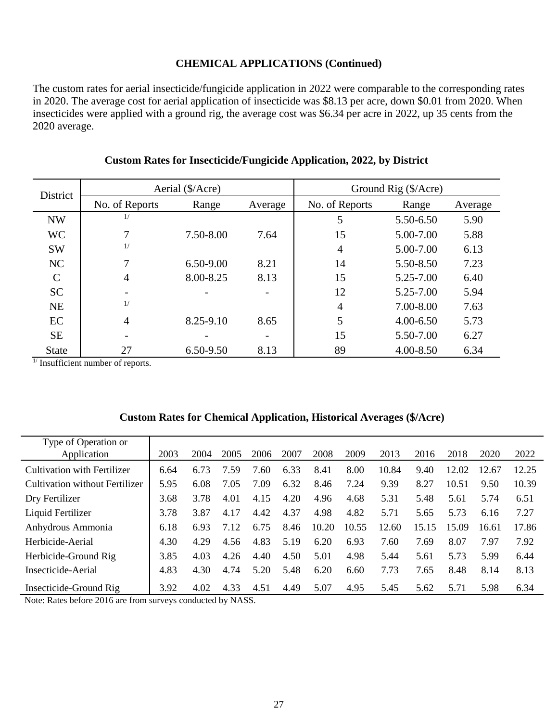#### **CHEMICAL APPLICATIONS (Continued)**

The custom rates for aerial insecticide/fungicide application in 2022 were comparable to the corresponding rates in 2020. The average cost for aerial application of insecticide was \$8.13 per acre, down \$0.01 from 2020. When insecticides were applied with a ground rig, the average cost was \$6.34 per acre in 2022, up 35 cents from the 2020 average.

| <b>District</b> |                | Aerial (\$/Acre) |         | Ground Rig (\$/Acre) |               |         |  |
|-----------------|----------------|------------------|---------|----------------------|---------------|---------|--|
|                 | No. of Reports | Range            | Average | No. of Reports       | Range         | Average |  |
| <b>NW</b>       |                |                  |         | 5                    | 5.50-6.50     | 5.90    |  |
| <b>WC</b>       | 7              | 7.50-8.00        | 7.64    | 15                   | 5.00-7.00     | 5.88    |  |
| <b>SW</b>       |                |                  |         | 4                    | 5.00-7.00     | 6.13    |  |
| NC              | 7              | 6.50-9.00        | 8.21    | 14                   | 5.50-8.50     | 7.23    |  |
| $\mathcal{C}$   | $\overline{4}$ | 8.00-8.25        | 8.13    | 15                   | 5.25-7.00     | 6.40    |  |
| <b>SC</b>       |                |                  |         | 12                   | 5.25-7.00     | 5.94    |  |
| <b>NE</b>       | 1/             |                  |         | 4                    | 7.00-8.00     | 7.63    |  |
| EC              | $\overline{4}$ | 8.25-9.10        | 8.65    | 5                    | $4.00 - 6.50$ | 5.73    |  |
| <b>SE</b>       |                |                  |         | 15                   | 5.50-7.00     | 6.27    |  |
| <b>State</b>    | 27             | 6.50-9.50        | 8.13    | 89                   | 4.00-8.50     | 6.34    |  |

#### **Custom Rates for Insecticide/Fungicide Application, 2022, by District**

 $\frac{1}{1}$  Insufficient number of reports.

| Type of Operation or<br>Application | 2003 | 2004 | 2005 | 2006 | 2007 | 2008  | 2009  | 2013  | 2016  | 2018  | 2020  | 2022  |
|-------------------------------------|------|------|------|------|------|-------|-------|-------|-------|-------|-------|-------|
|                                     |      |      |      |      |      |       |       |       |       |       |       |       |
| Cultivation with Fertilizer         | 6.64 | 6.73 | 7.59 | .60  | 6.33 | 8.41  | 8.00  | 10.84 | 9.40  | 12.02 | 12.67 | 12.25 |
| Cultivation without Fertilizer      | 5.95 | 6.08 | 7.05 | 7.09 | 6.32 | 8.46  | 7.24  | 9.39  | 8.27  | 10.51 | 9.50  | 10.39 |
| Dry Fertilizer                      | 3.68 | 3.78 | 4.01 | 4.15 | 4.20 | 4.96  | 4.68  | 5.31  | 5.48  | 5.61  | 5.74  | 6.51  |
| Liquid Fertilizer                   | 3.78 | 3.87 | 4.17 | 4.42 | 4.37 | 4.98  | 4.82  | 5.71  | 5.65  | 5.73  | 6.16  | 7.27  |
| Anhydrous Ammonia                   | 6.18 | 6.93 | 7.12 | 6.75 | 8.46 | 10.20 | 10.55 | 12.60 | 15.15 | 15.09 | 16.61 | 17.86 |
| Herbicide-Aerial                    | 4.30 | 4.29 | 4.56 | 4.83 | 5.19 | 6.20  | 6.93  | 7.60  | 7.69  | 8.07  | 7.97  | 7.92  |
| Herbicide-Ground Rig                | 3.85 | 4.03 | 4.26 | 4.40 | 4.50 | 5.01  | 4.98  | 5.44  | 5.61  | 5.73  | 5.99  | 6.44  |
| Insecticide-Aerial                  | 4.83 | 4.30 | 4.74 | 5.20 | 5.48 | 6.20  | 6.60  | 7.73  | 7.65  | 8.48  | 8.14  | 8.13  |
| Insecticide-Ground Rig              | 3.92 | 4.02 | 4.33 | 4.51 | 4.49 | 5.07  | 4.95  | 5.45  | 5.62  | 5.71  | 5.98  | 6.34  |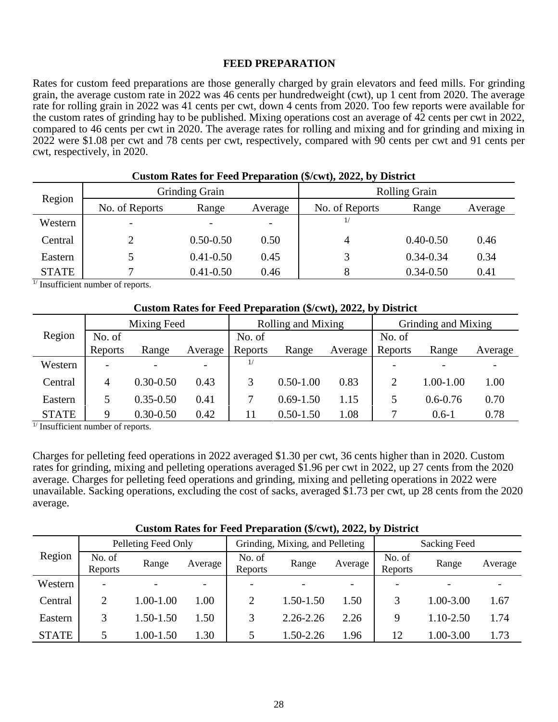#### **FEED PREPARATION**

Rates for custom feed preparations are those generally charged by grain elevators and feed mills. For grinding grain, the average custom rate in 2022 was 46 cents per hundredweight (cwt), up 1 cent from 2020. The average rate for rolling grain in 2022 was 41 cents per cwt, down 4 cents from 2020. Too few reports were available for the custom rates of grinding hay to be published. Mixing operations cost an average of 42 cents per cwt in 2022, compared to 46 cents per cwt in 2020. The average rates for rolling and mixing and for grinding and mixing in 2022 were \$1.08 per cwt and 78 cents per cwt, respectively, compared with 90 cents per cwt and 91 cents per cwt, respectively, in 2020.

| Region       |                          | Grinding Grain           |         | <b>Rolling Grain</b> |               |         |  |  |
|--------------|--------------------------|--------------------------|---------|----------------------|---------------|---------|--|--|
|              | No. of Reports           | Range                    | Average | No. of Reports       | Range         | Average |  |  |
| Western      | $\overline{\phantom{0}}$ | $\overline{\phantom{0}}$ |         |                      |               |         |  |  |
| Central      |                          | $0.50 - 0.50$            | 0.50    | 4                    | $0.40 - 0.50$ | 0.46    |  |  |
| Eastern      |                          | $0.41 - 0.50$            | 0.45    |                      | $0.34 - 0.34$ | 0.34    |  |  |
| <b>STATE</b> |                          | $0.41 - 0.50$            | 0.46    | 8                    | $0.34 - 0.50$ | 0.41    |  |  |

| Custom Rates for Feed Preparation (\$/cwt), 2022, by District |  |  |
|---------------------------------------------------------------|--|--|
|---------------------------------------------------------------|--|--|

 $1/$  Insufficient number of reports.

| Custom Rates for Feed Preparation (\$/cwt), 2022, by District |                |               |         |                    |               |         |                     |               |         |  |
|---------------------------------------------------------------|----------------|---------------|---------|--------------------|---------------|---------|---------------------|---------------|---------|--|
|                                                               | Mixing Feed    |               |         | Rolling and Mixing |               |         | Grinding and Mixing |               |         |  |
| Region                                                        | No. of         |               |         | No. of             |               |         | No. of              |               |         |  |
|                                                               | Reports        | Range         | Average | Reports            | Range         | Average | Reports             | Range         | Average |  |
| Western                                                       |                |               |         | $\frac{1}{2}$      |               |         |                     |               |         |  |
| Central                                                       | $\overline{4}$ | $0.30 - 0.50$ | 0.43    |                    | $0.50 - 1.00$ | 0.83    | 2                   | $1.00 - 1.00$ | 1.00    |  |
| Eastern                                                       |                | $0.35 - 0.50$ | 0.41    |                    | $0.69 - 1.50$ | 1.15    | 5                   | $0.6 - 0.76$  | 0.70    |  |
| <b>STATE</b>                                                  | 9              | $0.30 - 0.50$ | 0.42    | 11                 | $0.50 - 1.50$ | 1.08    |                     | $0.6-1$       | 0.78    |  |

 $\frac{1}{1}$  Insufficient number of reports.

Charges for pelleting feed operations in 2022 averaged \$1.30 per cwt, 36 cents higher than in 2020. Custom rates for grinding, mixing and pelleting operations averaged \$1.96 per cwt in 2022, up 27 cents from the 2020 average. Charges for pelleting feed operations and grinding, mixing and pelleting operations in 2022 were unavailable. Sacking operations, excluding the cost of sacks, averaged \$1.73 per cwt, up 28 cents from the 2020 average.

|              | Pelleting Feed Only      |               |         |                          | Grinding, Mixing, and Pelleting |         | <b>Sacking Feed</b> |           |         |
|--------------|--------------------------|---------------|---------|--------------------------|---------------------------------|---------|---------------------|-----------|---------|
| Region       | No. of<br>Reports        | Range         | Average | No. of<br>Reports        | Range                           | Average | No. of<br>Reports   | Range     | Average |
| Western      | $\overline{\phantom{0}}$ |               |         | $\overline{\phantom{0}}$ |                                 |         |                     |           |         |
| Central      |                          | 1.00-1.00     | 1.00    |                          | 1.50-1.50                       | 1.50    | 3                   | 1.00-3.00 | 1.67    |
| Eastern      |                          | $1.50 - 1.50$ | 1.50    |                          | $2.26 - 2.26$                   | 2.26    | 9                   | 1.10-2.50 | 1.74    |
| <b>STATE</b> | 5                        | 1.00-1.50     | 1.30    |                          | $.50 - 2.26$                    | 1.96    | 12                  | 1.00-3.00 | 1.73    |

**Custom Rates for Feed Preparation (\$/cwt), 2022, by District**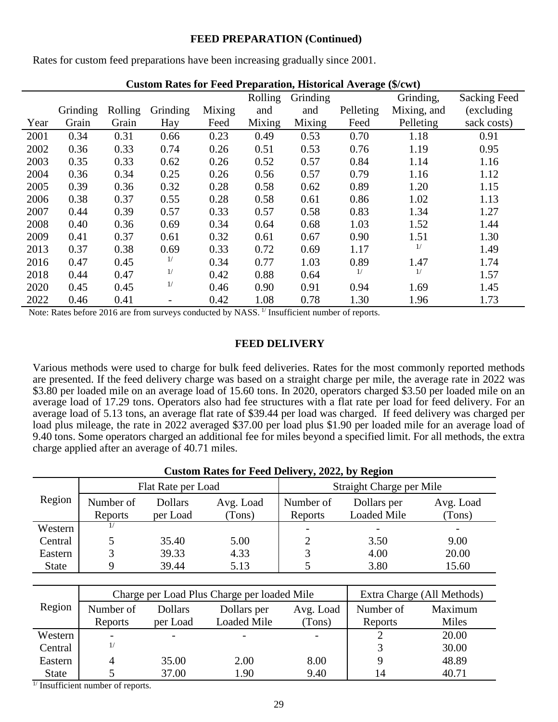#### **FEED PREPARATION (Continued)**

Rates for custom feed preparations have been increasing gradually since 2001.

|      |          |         | $\alpha$ can have to be a contracted in the contract $\alpha$ in $\alpha$ |        | Rolling | Grinding |           | Grinding,   | <b>Sacking Feed</b> |
|------|----------|---------|---------------------------------------------------------------------------|--------|---------|----------|-----------|-------------|---------------------|
|      | Grinding | Rolling | Grinding                                                                  | Mixing | and     | and      | Pelleting | Mixing, and | (excluding          |
| Year | Grain    | Grain   | Hay                                                                       | Feed   | Mixing  | Mixing   | Feed      | Pelleting   | sack costs)         |
| 2001 | 0.34     | 0.31    | 0.66                                                                      | 0.23   | 0.49    | 0.53     | 0.70      | 1.18        | 0.91                |
| 2002 | 0.36     | 0.33    | 0.74                                                                      | 0.26   | 0.51    | 0.53     | 0.76      | 1.19        | 0.95                |
| 2003 | 0.35     | 0.33    | 0.62                                                                      | 0.26   | 0.52    | 0.57     | 0.84      | 1.14        | 1.16                |
| 2004 | 0.36     | 0.34    | 0.25                                                                      | 0.26   | 0.56    | 0.57     | 0.79      | 1.16        | 1.12                |
| 2005 | 0.39     | 0.36    | 0.32                                                                      | 0.28   | 0.58    | 0.62     | 0.89      | 1.20        | 1.15                |
| 2006 | 0.38     | 0.37    | 0.55                                                                      | 0.28   | 0.58    | 0.61     | 0.86      | 1.02        | 1.13                |
| 2007 | 0.44     | 0.39    | 0.57                                                                      | 0.33   | 0.57    | 0.58     | 0.83      | 1.34        | 1.27                |
| 2008 | 0.40     | 0.36    | 0.69                                                                      | 0.34   | 0.64    | 0.68     | 1.03      | 1.52        | 1.44                |
| 2009 | 0.41     | 0.37    | 0.61                                                                      | 0.32   | 0.61    | 0.67     | 0.90      | 1.51        | 1.30                |
| 2013 | 0.37     | 0.38    | 0.69                                                                      | 0.33   | 0.72    | 0.69     | 1.17      | 1/          | 1.49                |
| 2016 | 0.47     | 0.45    | 1/                                                                        | 0.34   | 0.77    | 1.03     | 0.89      | 1.47        | 1.74                |
| 2018 | 0.44     | 0.47    | 1/                                                                        | 0.42   | 0.88    | 0.64     | 1/        | 1/          | 1.57                |
| 2020 | 0.45     | 0.45    | 1/                                                                        | 0.46   | 0.90    | 0.91     | 0.94      | 1.69        | 1.45                |
| 2022 | 0.46     | 0.41    |                                                                           | 0.42   | 1.08    | 0.78     | 1.30      | 1.96        | 1.73                |

| <b>Custom Rates for Feed Preparation, Historical Average (\$/cwt)</b> |  |  |  |  |  |  |  |
|-----------------------------------------------------------------------|--|--|--|--|--|--|--|
|-----------------------------------------------------------------------|--|--|--|--|--|--|--|

Note: Rates before 2016 are from surveys conducted by NASS.<sup>1/</sup> Insufficient number of reports.

#### **FEED DELIVERY**

Various methods were used to charge for bulk feed deliveries. Rates for the most commonly reported methods are presented. If the feed delivery charge was based on a straight charge per mile, the average rate in 2022 was \$3.80 per loaded mile on an average load of 15.60 tons. In 2020, operators charged \$3.50 per loaded mile on an average load of 17.29 tons. Operators also had fee structures with a flat rate per load for feed delivery. For an average load of 5.13 tons, an average flat rate of \$39.44 per load was charged. If feed delivery was charged per load plus mileage, the rate in 2022 averaged \$37.00 per load plus \$1.90 per loaded mile for an average load of 9.40 tons. Some operators charged an additional fee for miles beyond a specified limit. For all methods, the extra charge applied after an average of 40.71 miles.

|              | <b>Custom Rates for Feed Delivery, 2022, by Region</b> |                    |           |           |                          |           |  |  |  |  |  |
|--------------|--------------------------------------------------------|--------------------|-----------|-----------|--------------------------|-----------|--|--|--|--|--|
|              |                                                        | Flat Rate per Load |           |           | Straight Charge per Mile |           |  |  |  |  |  |
| Region       | Number of                                              | <b>Dollars</b>     | Avg. Load | Number of | Dollars per              | Avg. Load |  |  |  |  |  |
|              | Reports                                                | per Load           | (Tons)    | Reports   | <b>Loaded Mile</b>       | (Tons)    |  |  |  |  |  |
| Western      |                                                        |                    |           |           |                          |           |  |  |  |  |  |
| Central      |                                                        | 35.40              | 5.00      | 2         | 3.50                     | 9.00      |  |  |  |  |  |
| Eastern      |                                                        | 39.33              | 4.33      |           | 4.00                     | 20.00     |  |  |  |  |  |
| <b>State</b> |                                                        | 39.44              | 5.13      |           | 3.80                     | 15.60     |  |  |  |  |  |

|              |                          | Charge per Load Plus Charge per loaded Mile |                    | Extra Charge (All Methods) |           |         |
|--------------|--------------------------|---------------------------------------------|--------------------|----------------------------|-----------|---------|
| Region       | Number of                | <b>Dollars</b>                              | Dollars per        | Avg. Load                  | Number of | Maximum |
|              | Reports                  | per Load                                    | <b>Loaded Mile</b> | (Tons)                     | Reports   | Miles   |
| Western      | $\overline{\phantom{a}}$ |                                             |                    |                            |           | 20.00   |
| Central      | 1/                       |                                             |                    |                            |           | 30.00   |
| Eastern      | 4                        | 35.00                                       | 2.00               | 8.00                       |           | 48.89   |
| <b>State</b> |                          | 37.00                                       | 1.90               | 9.40                       | 14        | 40.71   |

 $<sup>1</sup>$  Insufficient number of reports.</sup>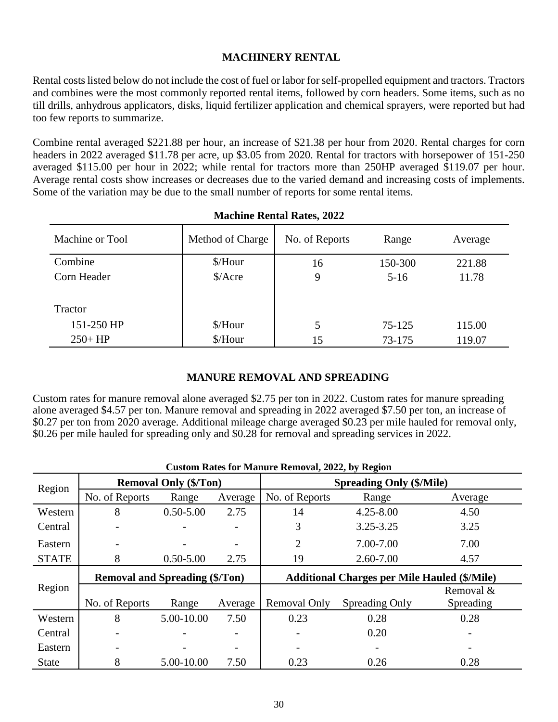#### **MACHINERY RENTAL**

Rental costs listed below do not include the cost of fuel or labor for self-propelled equipment and tractors. Tractors and combines were the most commonly reported rental items, followed by corn headers. Some items, such as no till drills, anhydrous applicators, disks, liquid fertilizer application and chemical sprayers, were reported but had too few reports to summarize.

Combine rental averaged \$221.88 per hour, an increase of \$21.38 per hour from 2020. Rental charges for corn headers in 2022 averaged \$11.78 per acre, up \$3.05 from 2020. Rental for tractors with horsepower of 151-250 averaged \$115.00 per hour in 2022; while rental for tractors more than 250HP averaged \$119.07 per hour. Average rental costs show increases or decreases due to the varied demand and increasing costs of implements. Some of the variation may be due to the small number of reports for some rental items.

| Machine or Tool | Method of Charge     | No. of Reports | Range   | Average |  |  |  |  |  |
|-----------------|----------------------|----------------|---------|---------|--|--|--|--|--|
| Combine         | \$/Hour              | 16             | 150-300 | 221.88  |  |  |  |  |  |
| Corn Header     | $\frac{\sqrt{2}}{2}$ | 9              | $5-16$  | 11.78   |  |  |  |  |  |
|                 |                      |                |         |         |  |  |  |  |  |
| Tractor         |                      |                |         |         |  |  |  |  |  |
| 151-250 HP      | \$/Hour              | 5              | 75-125  | 115.00  |  |  |  |  |  |
| $250 + HP$      | \$/Hour              | 15             | 73-175  | 119.07  |  |  |  |  |  |

#### **Machine Rental Rates, 2022**

#### **MANURE REMOVAL AND SPREADING**

Custom rates for manure removal alone averaged \$2.75 per ton in 2022. Custom rates for manure spreading alone averaged \$4.57 per ton. Manure removal and spreading in 2022 averaged \$7.50 per ton, an increase of \$0.27 per ton from 2020 average. Additional mileage charge averaged \$0.23 per mile hauled for removal only, \$0.26 per mile hauled for spreading only and \$0.28 for removal and spreading services in 2022.

|              | Custom Kates for tyranure Kemoval, 2022, by Kegfon |                              |         |                                 |                                                     |           |  |  |  |  |
|--------------|----------------------------------------------------|------------------------------|---------|---------------------------------|-----------------------------------------------------|-----------|--|--|--|--|
| Region       |                                                    | <b>Removal Only (\$/Ton)</b> |         | <b>Spreading Only (\$/Mile)</b> |                                                     |           |  |  |  |  |
|              | No. of Reports                                     | Range                        | Average | No. of Reports                  | Range                                               | Average   |  |  |  |  |
| Western      | 8                                                  | $0.50 - 5.00$                | 2.75    | 14                              | $4.25 - 8.00$                                       | 4.50      |  |  |  |  |
| Central      |                                                    |                              |         | 3                               | $3.25 - 3.25$                                       | 3.25      |  |  |  |  |
| Eastern      |                                                    |                              |         | $\overline{2}$                  | 7.00-7.00                                           | 7.00      |  |  |  |  |
| <b>STATE</b> | 8                                                  | $0.50 - 5.00$                | 2.75    | 19                              | $2.60 - 7.00$                                       | 4.57      |  |  |  |  |
|              |                                                    |                              |         |                                 |                                                     |           |  |  |  |  |
|              | <b>Removal and Spreading (\$/Ton)</b>              |                              |         |                                 | <b>Additional Charges per Mile Hauled (\$/Mile)</b> |           |  |  |  |  |
| Region       |                                                    |                              |         |                                 |                                                     | Removal & |  |  |  |  |
|              | No. of Reports                                     | Range                        | Average | Removal Only                    | Spreading Only                                      | Spreading |  |  |  |  |
| Western      | 8                                                  | 5.00-10.00                   | 7.50    | 0.23                            | 0.28                                                | 0.28      |  |  |  |  |
| Central      |                                                    |                              |         |                                 | 0.20                                                |           |  |  |  |  |
| Eastern      |                                                    |                              |         |                                 |                                                     |           |  |  |  |  |

#### **Custom Rates for Manure Removal, 2022, by Region**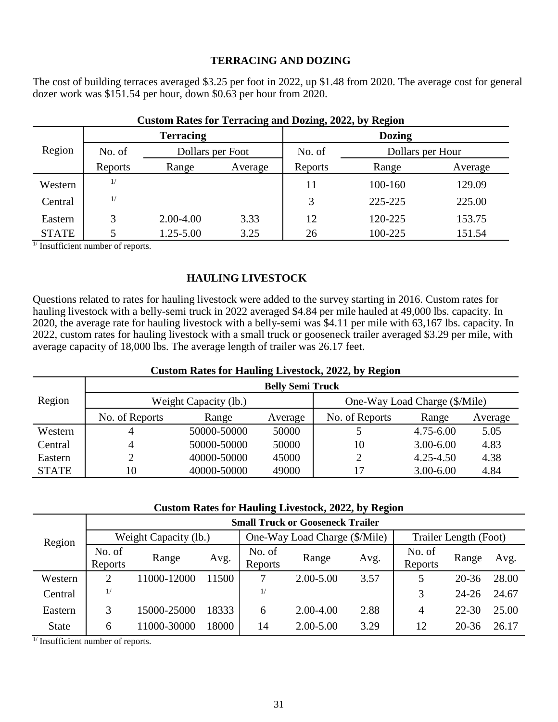#### **TERRACING AND DOZING**

The cost of building terraces averaged \$3.25 per foot in 2022, up \$1.48 from 2020. The average cost for general dozer work was \$151.54 per hour, down \$0.63 per hour from 2020.

|              |                            | <b>Terracing</b> |                            | <b>Dozing</b> |         |         |  |
|--------------|----------------------------|------------------|----------------------------|---------------|---------|---------|--|
| Region       | No. of<br>Dollars per Foot |                  | No. of<br>Dollars per Hour |               |         |         |  |
|              | Reports                    | Range            | Average                    | Reports       | Range   | Average |  |
| Western      | 1/                         |                  |                            | 11            | 100-160 | 129.09  |  |
| Central      | 1/                         |                  |                            | 3             | 225-225 | 225.00  |  |
| Eastern      | 3                          | 2.00-4.00        | 3.33                       | 12            | 120-225 | 153.75  |  |
| <b>STATE</b> |                            | 1.25-5.00        | 3.25                       | 26            | 100-225 | 151.54  |  |

#### **Custom Rates for Terracing and Dozing, 2022, by Region**

 $<sup>1</sup>$  Insufficient number of reports.</sup>

#### **HAULING LIVESTOCK**

Questions related to rates for hauling livestock were added to the survey starting in 2016. Custom rates for hauling livestock with a belly-semi truck in 2022 averaged \$4.84 per mile hauled at 49,000 lbs. capacity. In 2020, the average rate for hauling livestock with a belly-semi was \$4.11 per mile with 63,167 lbs. capacity. In 2022, custom rates for hauling livestock with a small truck or gooseneck trailer averaged \$3.29 per mile, with average capacity of 18,000 lbs. The average length of trailer was 26.17 feet.

#### **Custom Rates for Hauling Livestock, 2022, by Region**

|              | <b>Belly Semi Truck</b> |                       |         |                |                               |         |  |  |  |  |  |
|--------------|-------------------------|-----------------------|---------|----------------|-------------------------------|---------|--|--|--|--|--|
| Region       |                         | Weight Capacity (lb.) |         |                | One-Way Load Charge (\$/Mile) |         |  |  |  |  |  |
|              | No. of Reports          | Range                 | Average | No. of Reports | Range                         | Average |  |  |  |  |  |
| Western      |                         | 50000-50000           | 50000   |                | $4.75 - 6.00$                 | 5.05    |  |  |  |  |  |
| Central      |                         | 50000-50000           | 50000   | 10             | $3.00 - 6.00$                 | 4.83    |  |  |  |  |  |
| Eastern      |                         | 40000-50000           | 45000   |                | $4.25 - 4.50$                 | 4.38    |  |  |  |  |  |
| <b>STATE</b> | 10                      | 40000-50000           | 49000   | 17             | $3.00 - 6.00$                 | 4.84    |  |  |  |  |  |

#### **Custom Rates for Hauling Livestock, 2022, by Region**

|              |                   |                       |       |                   | <b>Small Truck or Gooseneck Trailer</b> |      |                   |                       |       |
|--------------|-------------------|-----------------------|-------|-------------------|-----------------------------------------|------|-------------------|-----------------------|-------|
| Region       |                   | Weight Capacity (lb.) |       |                   | One-Way Load Charge (\$/Mile)           |      |                   | Trailer Length (Foot) |       |
|              | No. of<br>Reports | Range                 | Avg.  | No. of<br>Reports | Range                                   | Avg. | No. of<br>Reports | Range                 | Avg.  |
| Western      |                   | 11000-12000           | 11500 |                   | $2.00 - 5.00$                           | 3.57 |                   | $20 - 36$             | 28.00 |
| Central      | 1/                |                       |       | 1/                |                                         |      | 3                 | $24 - 26$             | 24.67 |
| Eastern      |                   | 15000-25000           | 18333 | 6                 | 2.00-4.00                               | 2.88 | 4                 | $22 - 30$             | 25.00 |
| <b>State</b> | 6                 | 11000-30000           | 18000 | 14                | $2.00 - 5.00$                           | 3.29 | 12                | 20-36                 | 26.17 |

 $\frac{1}{1}$  Insufficient number of reports.